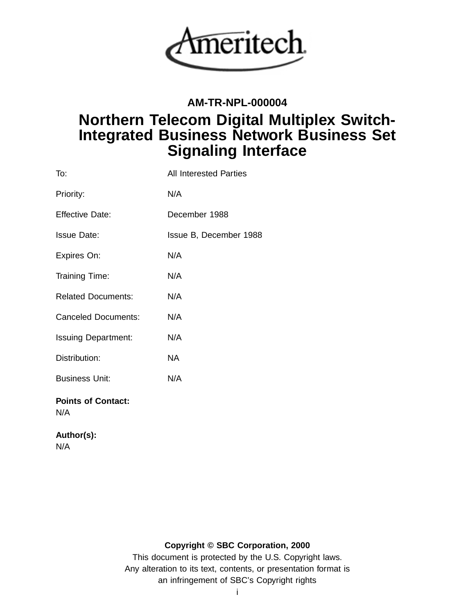

## **AM-TR-NPL-000004**

# **Northern Telecom Digital Multiplex Switch-Integrated Business Network Business Set Signaling Interface**

| To:                        | <b>All Interested Parties</b> |
|----------------------------|-------------------------------|
| Priority:                  | N/A                           |
| <b>Effective Date:</b>     | December 1988                 |
| <b>Issue Date:</b>         | Issue B, December 1988        |
| Expires On:                | N/A                           |
| Training Time:             | N/A                           |
| <b>Related Documents:</b>  | N/A                           |
| <b>Canceled Documents:</b> | N/A                           |
| <b>Issuing Department:</b> | N/A                           |
| Distribution:              | NA.                           |
| <b>Business Unit:</b>      | N/A                           |
| <b>Points of Contact:</b>  |                               |

N/A

**Author(s):**

N/A

### **Copyright © SBC Corporation, 2000**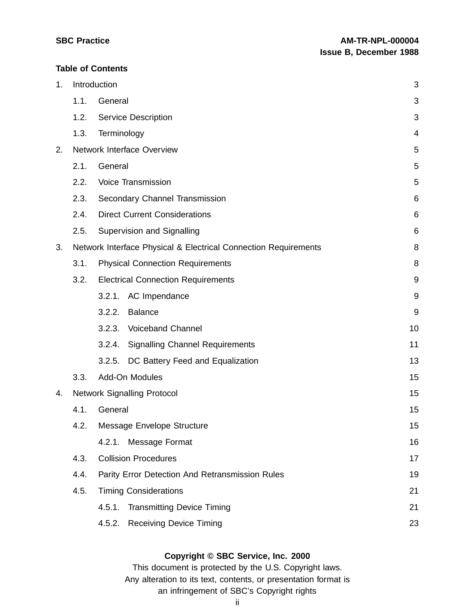### **Table of Contents**

| 1. |      | Introduction                                                    | 3               |
|----|------|-----------------------------------------------------------------|-----------------|
|    | 1.1. | General                                                         | 3               |
|    | 1.2. | <b>Service Description</b>                                      | 3               |
|    | 1.3. | Terminology                                                     | $\overline{4}$  |
| 2. |      | Network Interface Overview                                      | 5               |
|    | 2.1. | General                                                         | 5               |
|    | 2.2. | <b>Voice Transmission</b>                                       | 5               |
|    | 2.3. | Secondary Channel Transmission                                  | 6               |
|    | 2.4. | <b>Direct Current Considerations</b>                            | 6               |
|    | 2.5. | <b>Supervision and Signalling</b>                               | $6\phantom{1}6$ |
| 3. |      | Network Interface Physical & Electrical Connection Requirements | 8               |
|    | 3.1. | <b>Physical Connection Requirements</b>                         | 8               |
|    | 3.2. | <b>Electrical Connection Requirements</b>                       | 9               |
|    |      | 3.2.1. AC Impendance                                            | 9               |
|    |      | 3.2.2.<br><b>Balance</b>                                        | 9               |
|    |      | 3.2.3.<br><b>Voiceband Channel</b>                              | 10              |
|    |      | <b>Signalling Channel Requirements</b><br>3.2.4.                | 11              |
|    |      | 3.2.5.<br>DC Battery Feed and Equalization                      | 13              |
|    | 3.3. | Add-On Modules                                                  | 15              |
| 4. |      | <b>Network Signalling Protocol</b>                              | 15              |
|    | 4.1. | General                                                         | 15              |
|    | 4.2. | Message Envelope Structure                                      | 15              |
|    |      | 4.2.1. Message Format                                           | 16              |
|    | 4.3. | <b>Collision Procedures</b>                                     | 17              |
|    | 4.4. | Parity Error Detection And Retransmission Rules                 | 19              |
|    | 4.5. | <b>Timing Considerations</b>                                    | 21              |
|    |      | 4.5.1.<br><b>Transmitting Device Timing</b>                     | 21              |
|    |      | 4.5.2.<br><b>Receiving Device Timing</b>                        | 23              |

### **Copyright © SBC Service, Inc. 2000**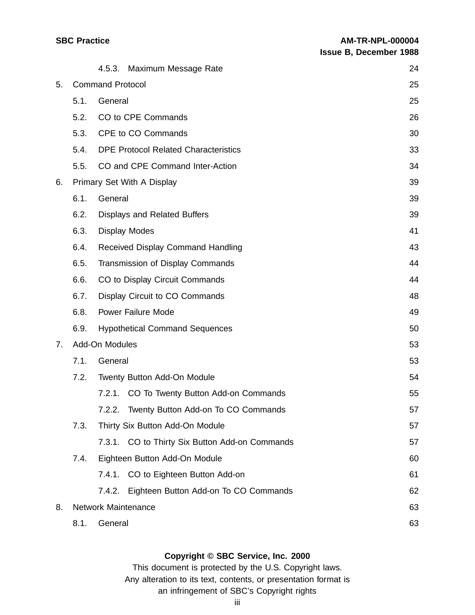|    |      | Maximum Message Rate<br>4.5.3.                 | 24 |
|----|------|------------------------------------------------|----|
| 5. |      | <b>Command Protocol</b>                        | 25 |
|    | 5.1. | General                                        | 25 |
|    | 5.2. | CO to CPE Commands                             | 26 |
|    | 5.3. | CPE to CO Commands                             | 30 |
|    | 5.4. | <b>DPE Protocol Related Characteristics</b>    | 33 |
|    | 5.5. | CO and CPE Command Inter-Action                | 34 |
| 6. |      | Primary Set With A Display                     | 39 |
|    | 6.1. | General                                        | 39 |
|    | 6.2. | <b>Displays and Related Buffers</b>            | 39 |
|    | 6.3. | <b>Display Modes</b>                           | 41 |
|    | 6.4. | Received Display Command Handling              | 43 |
|    | 6.5. | Transmission of Display Commands               | 44 |
|    | 6.6. | CO to Display Circuit Commands                 | 44 |
|    | 6.7. | Display Circuit to CO Commands                 | 48 |
|    | 6.8. | <b>Power Failure Mode</b>                      | 49 |
|    | 6.9. | <b>Hypothetical Command Sequences</b>          | 50 |
| 7. |      | Add-On Modules                                 | 53 |
|    | 7.1. | General                                        | 53 |
|    | 7.2. | Twenty Button Add-On Module                    | 54 |
|    |      | 7.2.1. CO To Twenty Button Add-on Commands     | 55 |
|    |      | 7.2.2.<br>Twenty Button Add-on To CO Commands  | 57 |
|    | 7.3. | Thirty Six Button Add-On Module                | 57 |
|    |      | 7.3.1. CO to Thirty Six Button Add-on Commands | 57 |
|    | 7.4. | Eighteen Button Add-On Module                  | 60 |
|    |      | 7.4.1. CO to Eighteen Button Add-on            | 61 |
|    |      | 7.4.2. Eighteen Button Add-on To CO Commands   | 62 |
| 8. |      | Network Maintenance                            | 63 |
|    | 8.1. | General                                        | 63 |

### **Copyright © SBC Service, Inc. 2000**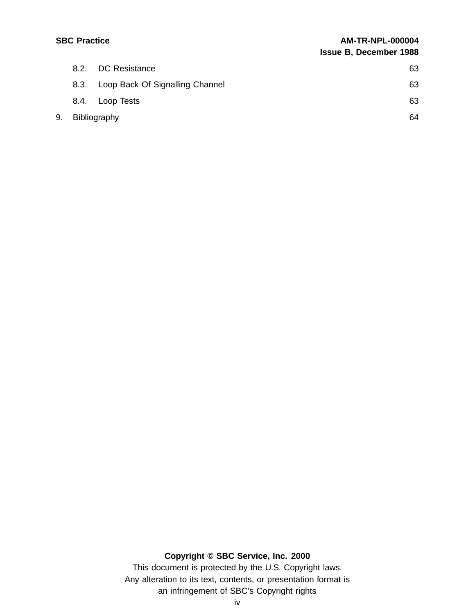|  | 8.2. DC Resistance                   | 63 |
|--|--------------------------------------|----|
|  | 8.3. Loop Back Of Signalling Channel | 63 |
|  | 8.4. Loop Tests                      | 63 |
|  | 9. Bibliography                      | 64 |

### **Copyright © SBC Service, Inc. 2000**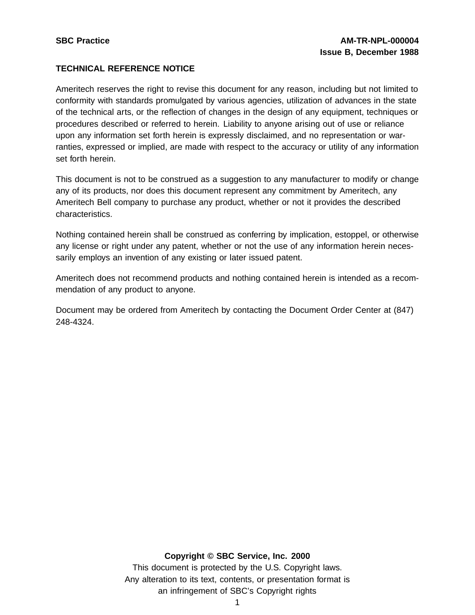### **TECHNICAL REFERENCE NOTICE**

Ameritech reserves the right to revise this document for any reason, including but not limited to conformity with standards promulgated by various agencies, utilization of advances in the state of the technical arts, or the reflection of changes in the design of any equipment, techniques or procedures described or referred to herein. Liability to anyone arising out of use or reliance upon any information set forth herein is expressly disclaimed, and no representation or warranties, expressed or implied, are made with respect to the accuracy or utility of any information set forth herein.

This document is not to be construed as a suggestion to any manufacturer to modify or change any of its products, nor does this document represent any commitment by Ameritech, any Ameritech Bell company to purchase any product, whether or not it provides the described characteristics.

Nothing contained herein shall be construed as conferring by implication, estoppel, or otherwise any license or right under any patent, whether or not the use of any information herein necessarily employs an invention of any existing or later issued patent.

Ameritech does not recommend products and nothing contained herein is intended as a recommendation of any product to anyone.

Document may be ordered from Ameritech by contacting the Document Order Center at (847) 248-4324.

**Copyright © SBC Service, Inc. 2000**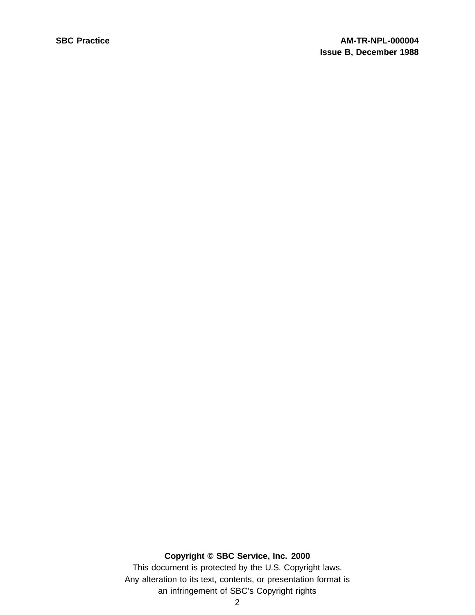### **Copyright © SBC Service, Inc. 2000**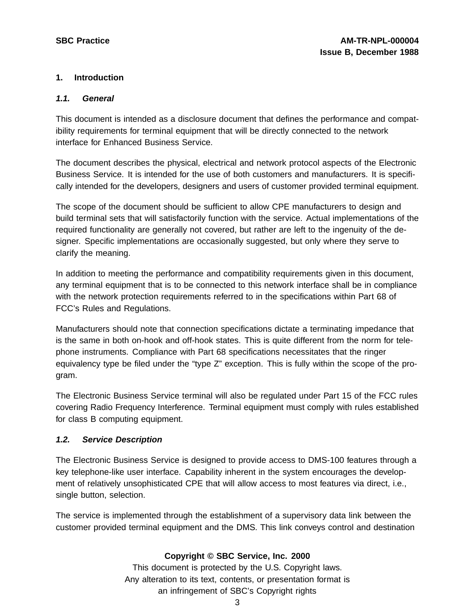### **1. Introduction**

### **1.1. General**

This document is intended as a disclosure document that defines the performance and compatibility requirements for terminal equipment that will be directly connected to the network interface for Enhanced Business Service.

The document describes the physical, electrical and network protocol aspects of the Electronic Business Service. It is intended for the use of both customers and manufacturers. It is specifically intended for the developers, designers and users of customer provided terminal equipment.

The scope of the document should be sufficient to allow CPE manufacturers to design and build terminal sets that will satisfactorily function with the service. Actual implementations of the required functionality are generally not covered, but rather are left to the ingenuity of the designer. Specific implementations are occasionally suggested, but only where they serve to clarify the meaning.

In addition to meeting the performance and compatibility requirements given in this document, any terminal equipment that is to be connected to this network interface shall be in compliance with the network protection requirements referred to in the specifications within Part 68 of FCC's Rules and Regulations.

Manufacturers should note that connection specifications dictate a terminating impedance that is the same in both on-hook and off-hook states. This is quite different from the norm for telephone instruments. Compliance with Part 68 specifications necessitates that the ringer equivalency type be filed under the "type Z" exception. This is fully within the scope of the program.

The Electronic Business Service terminal will also be regulated under Part 15 of the FCC rules covering Radio Frequency Interference. Terminal equipment must comply with rules established for class B computing equipment.

### **1.2. Service Description**

The Electronic Business Service is designed to provide access to DMS-100 features through a key telephone-like user interface. Capability inherent in the system encourages the development of relatively unsophisticated CPE that will allow access to most features via direct, i.e., single button, selection.

The service is implemented through the establishment of a supervisory data link between the customer provided terminal equipment and the DMS. This link conveys control and destination

### **Copyright © SBC Service, Inc. 2000**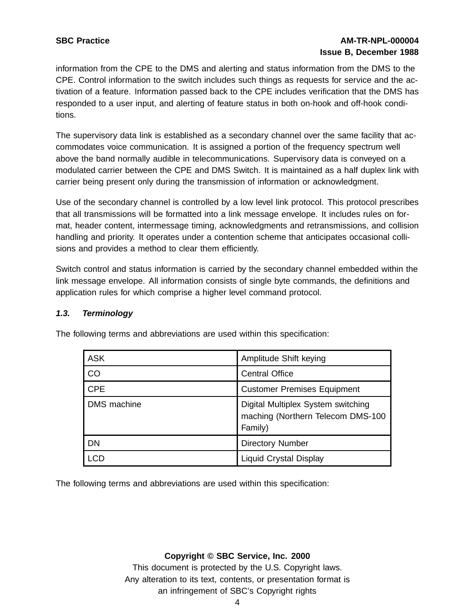## **SBC Practice AM-TR-NPL-000004 Issue B, December 1988**

information from the CPE to the DMS and alerting and status information from the DMS to the CPE. Control information to the switch includes such things as requests for service and the activation of a feature. Information passed back to the CPE includes verification that the DMS has responded to a user input, and alerting of feature status in both on-hook and off-hook conditions.

The supervisory data link is established as a secondary channel over the same facility that accommodates voice communication. It is assigned a portion of the frequency spectrum well above the band normally audible in telecommunications. Supervisory data is conveyed on a modulated carrier between the CPE and DMS Switch. It is maintained as a half duplex link with carrier being present only during the transmission of information or acknowledgment.

Use of the secondary channel is controlled by a low level link protocol. This protocol prescribes that all transmissions will be formatted into a link message envelope. It includes rules on format, header content, intermessage timing, acknowledgments and retransmissions, and collision handling and priority. It operates under a contention scheme that anticipates occasional collisions and provides a method to clear them efficiently.

Switch control and status information is carried by the secondary channel embedded within the link message envelope. All information consists of single byte commands, the definitions and application rules for which comprise a higher level command protocol.

### **1.3. Terminology**

| <b>ASK</b>  | Amplitude Shift keying                                                             |  |  |
|-------------|------------------------------------------------------------------------------------|--|--|
| CO          | <b>Central Office</b>                                                              |  |  |
| <b>CPE</b>  | <b>Customer Premises Equipment</b>                                                 |  |  |
| DMS machine | Digital Multiplex System switching<br>maching (Northern Telecom DMS-100<br>Family) |  |  |
| <b>DN</b>   | <b>Directory Number</b>                                                            |  |  |
|             | <b>Liquid Crystal Display</b>                                                      |  |  |

The following terms and abbreviations are used within this specification:

The following terms and abbreviations are used within this specification:

### **Copyright © SBC Service, Inc. 2000**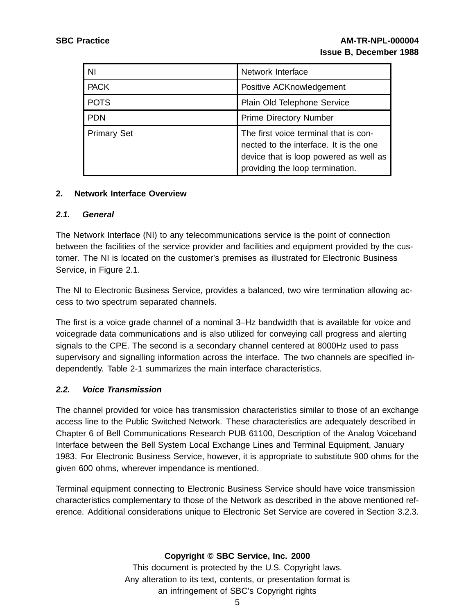| <b>NI</b>          | Network Interface                                                                                                                                            |
|--------------------|--------------------------------------------------------------------------------------------------------------------------------------------------------------|
| <b>PACK</b>        | Positive ACKnowledgement                                                                                                                                     |
| <b>POTS</b>        | Plain Old Telephone Service                                                                                                                                  |
| <b>PDN</b>         | <b>Prime Directory Number</b>                                                                                                                                |
| <b>Primary Set</b> | The first voice terminal that is con-<br>nected to the interface. It is the one<br>device that is loop powered as well as<br>providing the loop termination. |

### **2. Network Interface Overview**

### **2.1. General**

The Network Interface (NI) to any telecommunications service is the point of connection between the facilities of the service provider and facilities and equipment provided by the customer. The NI is located on the customer's premises as illustrated for Electronic Business Service, in Figure 2.1.

The NI to Electronic Business Service, provides a balanced, two wire termination allowing access to two spectrum separated channels.

The first is a voice grade channel of a nominal 3–Hz bandwidth that is available for voice and voicegrade data communications and is also utilized for conveying call progress and alerting signals to the CPE. The second is a secondary channel centered at 8000Hz used to pass supervisory and signalling information across the interface. The two channels are specified independently. Table 2-1 summarizes the main interface characteristics.

### **2.2. Voice Transmission**

The channel provided for voice has transmission characteristics similar to those of an exchange access line to the Public Switched Network. These characteristics are adequately described in Chapter 6 of Bell Communications Research PUB 61100, Description of the Analog Voiceband Interface between the Bell System Local Exchange Lines and Terminal Equipment, January 1983. For Electronic Business Service, however, it is appropriate to substitute 900 ohms for the given 600 ohms, wherever impendance is mentioned.

Terminal equipment connecting to Electronic Business Service should have voice transmission characteristics complementary to those of the Network as described in the above mentioned reference. Additional considerations unique to Electronic Set Service are covered in Section 3.2.3.

**Copyright © SBC Service, Inc. 2000**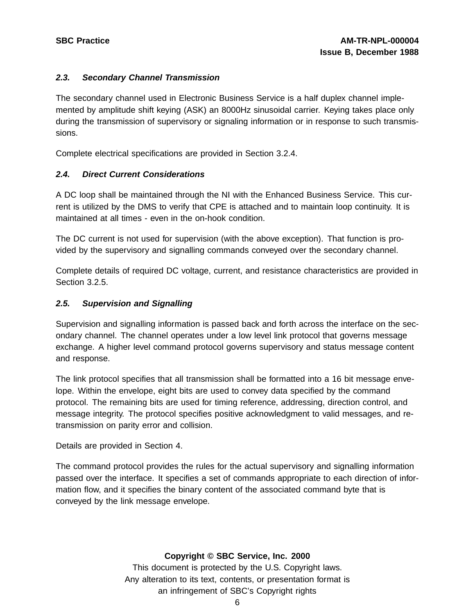### **2.3. Secondary Channel Transmission**

The secondary channel used in Electronic Business Service is a half duplex channel implemented by amplitude shift keying (ASK) an 8000Hz sinusoidal carrier. Keying takes place only during the transmission of supervisory or signaling information or in response to such transmissions.

Complete electrical specifications are provided in Section 3.2.4.

### **2.4. Direct Current Considerations**

A DC loop shall be maintained through the NI with the Enhanced Business Service. This current is utilized by the DMS to verify that CPE is attached and to maintain loop continuity. It is maintained at all times - even in the on-hook condition.

The DC current is not used for supervision (with the above exception). That function is provided by the supervisory and signalling commands conveyed over the secondary channel.

Complete details of required DC voltage, current, and resistance characteristics are provided in Section 3.2.5.

### **2.5. Supervision and Signalling**

Supervision and signalling information is passed back and forth across the interface on the secondary channel. The channel operates under a low level link protocol that governs message exchange. A higher level command protocol governs supervisory and status message content and response.

The link protocol specifies that all transmission shall be formatted into a 16 bit message envelope. Within the envelope, eight bits are used to convey data specified by the command protocol. The remaining bits are used for timing reference, addressing, direction control, and message integrity. The protocol specifies positive acknowledgment to valid messages, and retransmission on parity error and collision.

Details are provided in Section 4.

The command protocol provides the rules for the actual supervisory and signalling information passed over the interface. It specifies a set of commands appropriate to each direction of information flow, and it specifies the binary content of the associated command byte that is conveyed by the link message envelope.

### **Copyright © SBC Service, Inc. 2000**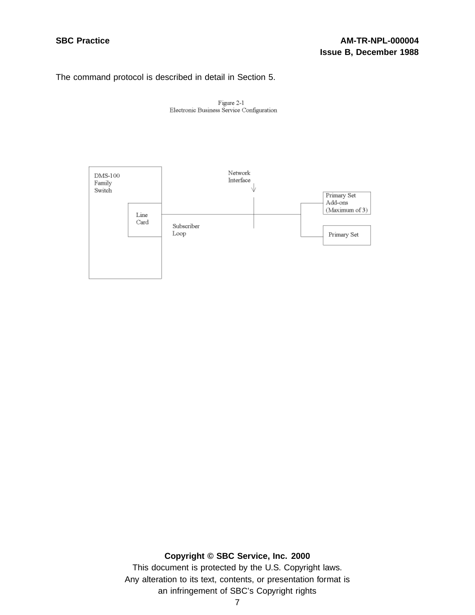### The command protocol is described in detail in Section 5.

Figure 2-1 Electronic Business Service Configuration



### **Copyright © SBC Service, Inc. 2000**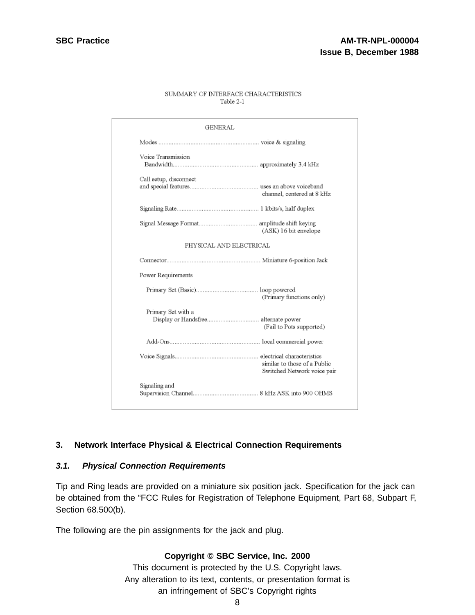| <b>GENERAL</b>          |                              |  |  |  |  |
|-------------------------|------------------------------|--|--|--|--|
|                         |                              |  |  |  |  |
| Voice Transmission      |                              |  |  |  |  |
| Call setup, disconnect  | channel, centered at 8 kHz   |  |  |  |  |
|                         |                              |  |  |  |  |
|                         | (ASK) 16 bit envelope        |  |  |  |  |
| PHYSICAL AND ELECTRICAL |                              |  |  |  |  |
|                         |                              |  |  |  |  |
| Power Requirements      |                              |  |  |  |  |
|                         | (Primary functions only)     |  |  |  |  |
| Primary Set with a      | (Fail to Pots supported)     |  |  |  |  |
|                         |                              |  |  |  |  |
|                         | similar to those of a Public |  |  |  |  |
|                         | Switched Network voice pair  |  |  |  |  |

#### SUMMARY OF INTERFACE CHARACTERISTICS Table 2-1

### **3. Network Interface Physical & Electrical Connection Requirements**

### **3.1. Physical Connection Requirements**

Tip and Ring leads are provided on a miniature six position jack. Specification for the jack can be obtained from the "FCC Rules for Registration of Telephone Equipment, Part 68, Subpart F, Section 68.500(b).

The following are the pin assignments for the jack and plug.

### **Copyright © SBC Service, Inc. 2000**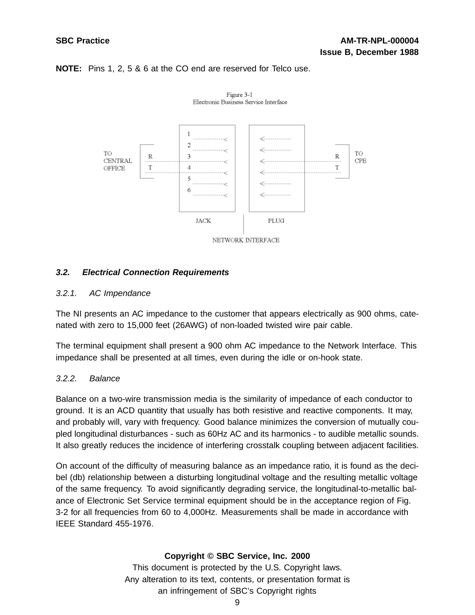### **NOTE:** Pins 1, 2, 5 & 6 at the CO end are reserved for Telco use.



### **3.2. Electrical Connection Requirements**

### 3.2.1. AC Impendance

The NI presents an AC impedance to the customer that appears electrically as 900 ohms, catenated with zero to 15,000 feet (26AWG) of non-loaded twisted wire pair cable.

The terminal equipment shall present a 900 ohm AC impedance to the Network Interface. This impedance shall be presented at all times, even during the idle or on-hook state.

### 3.2.2. Balance

Balance on a two-wire transmission media is the similarity of impedance of each conductor to ground. It is an ACD quantity that usually has both resistive and reactive components. It may, and probably will, vary with frequency. Good balance minimizes the conversion of mutually coupled longitudinal disturbances - such as 60Hz AC and its harmonics - to audible metallic sounds. It also greatly reduces the incidence of interfering crosstalk coupling between adjacent facilities.

On account of the difficulty of measuring balance as an impedance ratio, it is found as the decibel (db) relationship between a disturbing longitudinal voltage and the resulting metallic voltage of the same frequency. To avoid significantly degrading service, the longitudinal-to-metallic balance of Electronic Set Service terminal equipment should be in the acceptance region of Fig. 3-2 for all frequencies from 60 to 4,000Hz. Measurements shall be made in accordance with IEEE Standard 455-1976.

### **Copyright © SBC Service, Inc. 2000**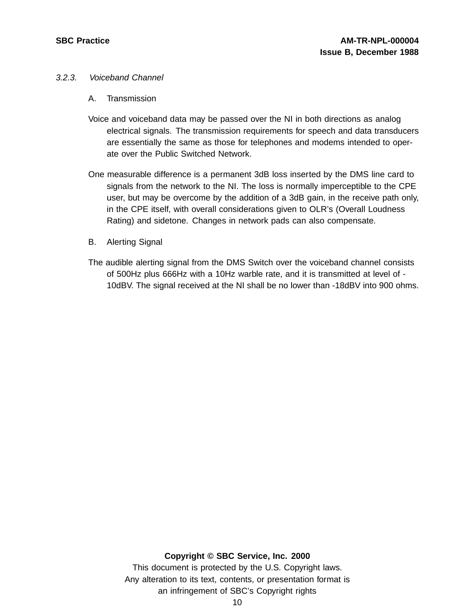- 3.2.3. Voiceband Channel
	- A. Transmission
	- Voice and voiceband data may be passed over the NI in both directions as analog electrical signals. The transmission requirements for speech and data transducers are essentially the same as those for telephones and modems intended to operate over the Public Switched Network.
	- One measurable difference is a permanent 3dB loss inserted by the DMS line card to signals from the network to the NI. The loss is normally imperceptible to the CPE user, but may be overcome by the addition of a 3dB gain, in the receive path only, in the CPE itself, with overall considerations given to OLR's (Overall Loudness Rating) and sidetone. Changes in network pads can also compensate.
	- B. Alerting Signal
	- The audible alerting signal from the DMS Switch over the voiceband channel consists of 500Hz plus 666Hz with a 10Hz warble rate, and it is transmitted at level of - 10dBV. The signal received at the NI shall be no lower than -18dBV into 900 ohms.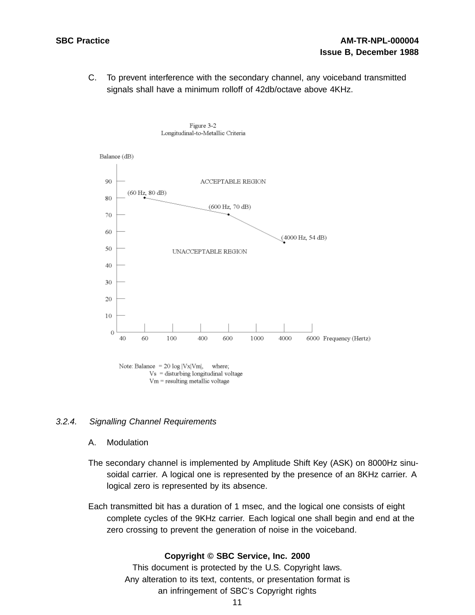C. To prevent interference with the secondary channel, any voiceband transmitted signals shall have a minimum rolloff of 42db/octave above 4KHz.



Figure 3-2 Longitudinal-to-Metallic Criteria

### 3.2.4. Signalling Channel Requirements

### A. Modulation

- The secondary channel is implemented by Amplitude Shift Key (ASK) on 8000Hz sinusoidal carrier. A logical one is represented by the presence of an 8KHz carrier. A logical zero is represented by its absence.
- Each transmitted bit has a duration of 1 msec, and the logical one consists of eight complete cycles of the 9KHz carrier. Each logical one shall begin and end at the zero crossing to prevent the generation of noise in the voiceband.

### **Copyright © SBC Service, Inc. 2000**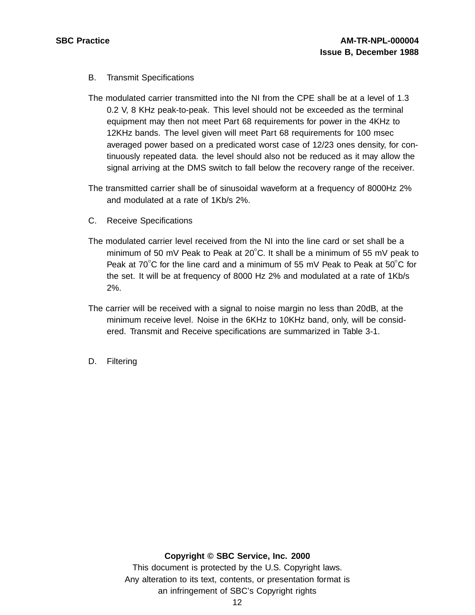- B. Transmit Specifications
- The modulated carrier transmitted into the NI from the CPE shall be at a level of 1.3 0.2 V, 8 KHz peak-to-peak. This level should not be exceeded as the terminal equipment may then not meet Part 68 requirements for power in the 4KHz to 12KHz bands. The level given will meet Part 68 requirements for 100 msec averaged power based on a predicated worst case of 12/23 ones density, for continuously repeated data. the level should also not be reduced as it may allow the signal arriving at the DMS switch to fall below the recovery range of the receiver.
- The transmitted carrier shall be of sinusoidal waveform at a frequency of 8000Hz 2% and modulated at a rate of 1Kb/s 2%.
- C. Receive Specifications
- The modulated carrier level received from the NI into the line card or set shall be a minimum of 50 mV Peak to Peak at 20 $^{\circ}$ C. It shall be a minimum of 55 mV peak to Peak at 70 $\degree$ C for the line card and a minimum of 55 mV Peak to Peak at 50 $\degree$ C for the set. It will be at frequency of 8000 Hz 2% and modulated at a rate of 1Kb/s 2%.
- The carrier will be received with a signal to noise margin no less than 20dB, at the minimum receive level. Noise in the 6KHz to 10KHz band, only, will be considered. Transmit and Receive specifications are summarized in Table 3-1.
- D. Filtering

### **Copyright © SBC Service, Inc. 2000**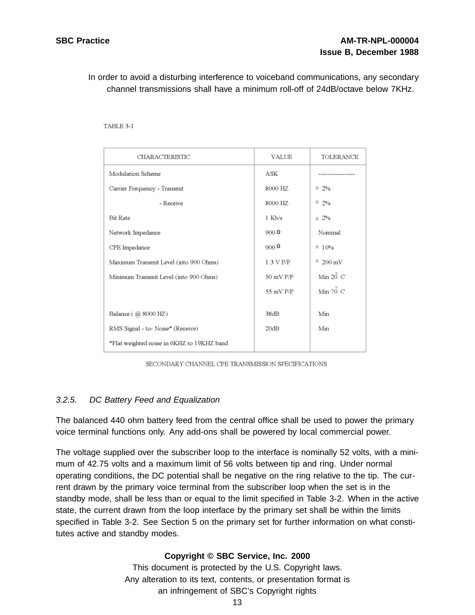In order to avoid a disturbing interference to voiceband communications, any secondary channel transmissions shall have a minimum roll-off of 24dB/octave below 7KHz.

#### TABLE 3-1

| CHARACTERISTIC                             | VALUE        | TOLERANCE     |
|--------------------------------------------|--------------|---------------|
| Modulation Scheme                          | ASK          | ------------- |
| Carrier Frequency - Transmit               | 8000 HZ      | $± 2\%$       |
| - Receive                                  | 8000 HZ      | $± 2\%$       |
| <b>Bit Rate</b>                            | $1$ Kb/s     | $± 2\%$       |
| Network Impedance                          | 900 $\Omega$ | Nominal       |
| CPE Impedance                              | 900 Ω        | ±10%          |
| Maximum Transmit Level (into 900 Ohms)     | 1.3 V P/P    | $\pm 200$ mV  |
| Minimum Transmit Level (into 900 Ohms)     | 50 mV P/P    | Min 20°C      |
|                                            | 55 mV P/P    | Min 70 C      |
|                                            |              |               |
| Balance (@ 8000 HZ)                        | 38dB         | Min           |
| RMS Signal - to- Noise* (Receive)          | 20dB         | Min           |
| *Flat weighted noise in 6KHZ to 19KHZ band |              |               |

SECONDARY CHANNEL CPE TRANSMISSION SPECIFICATIONS

### 3.2.5. DC Battery Feed and Equalization

The balanced 440 ohm battery feed from the central office shall be used to power the primary voice terminal functions only. Any add-ons shall be powered by local commercial power.

The voltage supplied over the subscriber loop to the interface is nominally 52 volts, with a minimum of 42.75 volts and a maximum limit of 56 volts between tip and ring. Under normal operating conditions, the DC potential shall be negative on the ring relative to the tip. The current drawn by the primary voice terminal from the subscriber loop when the set is in the standby mode, shall be less than or equal to the limit specified in Table 3-2. When in the active state, the current drawn from the loop interface by the primary set shall be within the limits specified in Table 3-2. See Section 5 on the primary set for further information on what constitutes active and standby modes.

### **Copyright © SBC Service, Inc. 2000**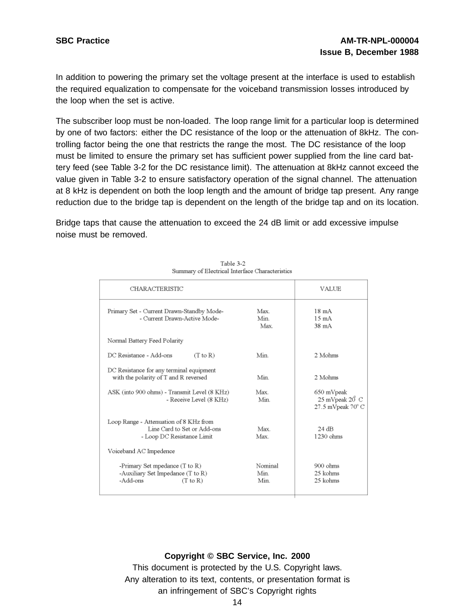In addition to powering the primary set the voltage present at the interface is used to establish the required equalization to compensate for the voiceband transmission losses introduced by the loop when the set is active.

The subscriber loop must be non-loaded. The loop range limit for a particular loop is determined by one of two factors: either the DC resistance of the loop or the attenuation of 8kHz. The controlling factor being the one that restricts the range the most. The DC resistance of the loop must be limited to ensure the primary set has sufficient power supplied from the line card battery feed (see Table 3-2 for the DC resistance limit). The attenuation at 8kHz cannot exceed the value given in Table 3-2 to ensure satisfactory operation of the signal channel. The attenuation at 8 kHz is dependent on both the loop length and the amount of bridge tap present. Any range reduction due to the bridge tap is dependent on the length of the bridge tap and on its location.

Bridge taps that cause the attenuation to exceed the 24 dB limit or add excessive impulse noise must be removed.

| CHARACTERISTIC                                                                                                                |                         | VALUE                                             |
|-------------------------------------------------------------------------------------------------------------------------------|-------------------------|---------------------------------------------------|
| Primary Set - Current Drawn-Standby Mode-<br>- Current Drawn-Active Mode-                                                     | Max<br>Min.<br>Max.     | $18 \text{ mA}$<br>$15 \text{ mA}$<br>38 mA       |
| Normal Battery Feed Polarity                                                                                                  |                         |                                                   |
| DC Resistance - Add-ons<br>$(T \text{ to } R)$                                                                                | Min.                    | 2 Mohms                                           |
| DC Resistance for any terminal equipment<br>with the polarity of T and R reversed                                             | Min.                    | 2 Mohms                                           |
| ASK (into 900 ohms) - Transmit Level (8 KHz)<br>- Receive Level (8 KHz)                                                       | Max.<br>Min.            | 650 mVpeak<br>25 mVpeak 20 C<br>27.5 mVpeak 70° C |
| Loop Range - Attenuation of 8 KHz from<br>Line Card to Set or Add-ons<br>- Loop DC Resistance Limit<br>Voiceband AC Impedence | Max.<br>Max.            | 24 dB<br>$1230 \text{ ohms}$                      |
| -Primary Set mpedance $(T \text{ to } R)$<br>-Auxiliary Set Impedance (T to R)<br>-Add-ons<br>(T to R)                        | Nominal<br>Min.<br>Min. | 900 ohms<br>25 kohms<br>25 kohms                  |

| Table 3-2                                       |
|-------------------------------------------------|
| Summary of Electrical Interface Characteristics |

### **Copyright © SBC Service, Inc. 2000**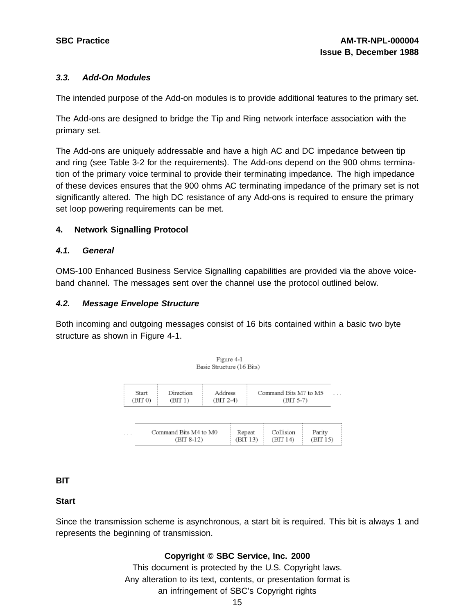### **3.3. Add-On Modules**

The intended purpose of the Add-on modules is to provide additional features to the primary set.

The Add-ons are designed to bridge the Tip and Ring network interface association with the primary set.

The Add-ons are uniquely addressable and have a high AC and DC impedance between tip and ring (see Table 3-2 for the requirements). The Add-ons depend on the 900 ohms termination of the primary voice terminal to provide their terminating impedance. The high impedance of these devices ensures that the 900 ohms AC terminating impedance of the primary set is not significantly altered. The high DC resistance of any Add-ons is required to ensure the primary set loop powering requirements can be met.

### **4. Network Signalling Protocol**

### **4.1. General**

OMS-100 Enhanced Business Service Signalling capabilities are provided via the above voiceband channel. The messages sent over the channel use the protocol outlined below.

### **4.2. Message Envelope Structure**

Both incoming and outgoing messages consist of 16 bits contained within a basic two byte structure as shown in Figure 4-1.



**BIT**

### **Start**

Since the transmission scheme is asynchronous, a start bit is required. This bit is always 1 and represents the beginning of transmission.

### **Copyright © SBC Service, Inc. 2000**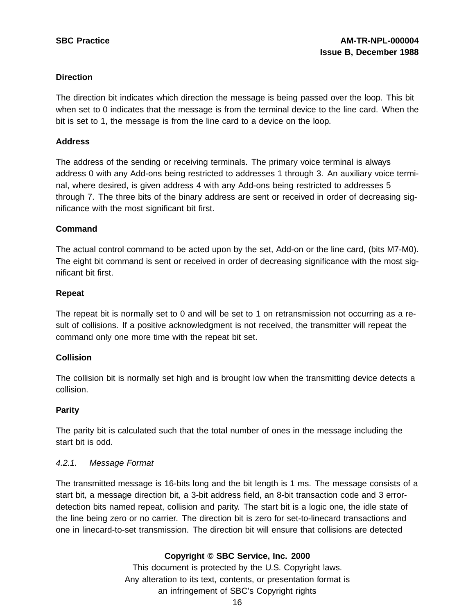### **Direction**

The direction bit indicates which direction the message is being passed over the loop. This bit when set to 0 indicates that the message is from the terminal device to the line card. When the bit is set to 1, the message is from the line card to a device on the loop.

### **Address**

The address of the sending or receiving terminals. The primary voice terminal is always address 0 with any Add-ons being restricted to addresses 1 through 3. An auxiliary voice terminal, where desired, is given address 4 with any Add-ons being restricted to addresses 5 through 7. The three bits of the binary address are sent or received in order of decreasing significance with the most significant bit first.

### **Command**

The actual control command to be acted upon by the set, Add-on or the line card, (bits M7-M0). The eight bit command is sent or received in order of decreasing significance with the most significant bit first.

### **Repeat**

The repeat bit is normally set to 0 and will be set to 1 on retransmission not occurring as a result of collisions. If a positive acknowledgment is not received, the transmitter will repeat the command only one more time with the repeat bit set.

### **Collision**

The collision bit is normally set high and is brought low when the transmitting device detects a collision.

### **Parity**

The parity bit is calculated such that the total number of ones in the message including the start bit is odd.

### 4.2.1. Message Format

The transmitted message is 16-bits long and the bit length is 1 ms. The message consists of a start bit, a message direction bit, a 3-bit address field, an 8-bit transaction code and 3 errordetection bits named repeat, collision and parity. The start bit is a logic one, the idle state of the line being zero or no carrier. The direction bit is zero for set-to-linecard transactions and one in linecard-to-set transmission. The direction bit will ensure that collisions are detected

### **Copyright © SBC Service, Inc. 2000**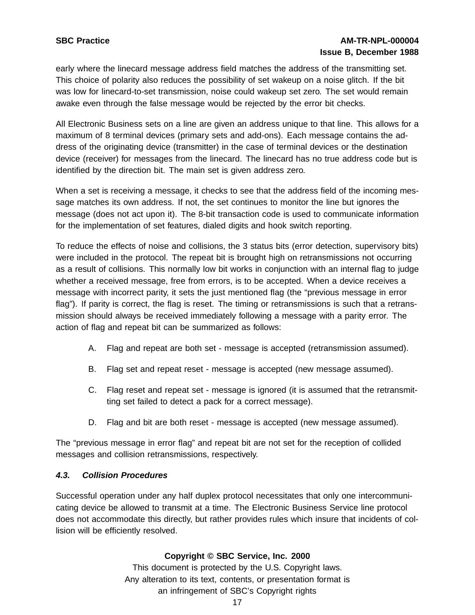early where the linecard message address field matches the address of the transmitting set. This choice of polarity also reduces the possibility of set wakeup on a noise glitch. If the bit was low for linecard-to-set transmission, noise could wakeup set zero. The set would remain awake even through the false message would be rejected by the error bit checks.

All Electronic Business sets on a line are given an address unique to that line. This allows for a maximum of 8 terminal devices (primary sets and add-ons). Each message contains the address of the originating device (transmitter) in the case of terminal devices or the destination device (receiver) for messages from the linecard. The linecard has no true address code but is identified by the direction bit. The main set is given address zero.

When a set is receiving a message, it checks to see that the address field of the incoming message matches its own address. If not, the set continues to monitor the line but ignores the message (does not act upon it). The 8-bit transaction code is used to communicate information for the implementation of set features, dialed digits and hook switch reporting.

To reduce the effects of noise and collisions, the 3 status bits (error detection, supervisory bits) were included in the protocol. The repeat bit is brought high on retransmissions not occurring as a result of collisions. This normally low bit works in conjunction with an internal flag to judge whether a received message, free from errors, is to be accepted. When a device receives a message with incorrect parity, it sets the just mentioned flag (the "previous message in error flag"). If parity is correct, the flag is reset. The timing or retransmissions is such that a retransmission should always be received immediately following a message with a parity error. The action of flag and repeat bit can be summarized as follows:

- A. Flag and repeat are both set message is accepted (retransmission assumed).
- B. Flag set and repeat reset message is accepted (new message assumed).
- C. Flag reset and repeat set message is ignored (it is assumed that the retransmitting set failed to detect a pack for a correct message).
- D. Flag and bit are both reset message is accepted (new message assumed).

The "previous message in error flag" and repeat bit are not set for the reception of collided messages and collision retransmissions, respectively.

### **4.3. Collision Procedures**

Successful operation under any half duplex protocol necessitates that only one intercommunicating device be allowed to transmit at a time. The Electronic Business Service line protocol does not accommodate this directly, but rather provides rules which insure that incidents of collision will be efficiently resolved.

### **Copyright © SBC Service, Inc. 2000**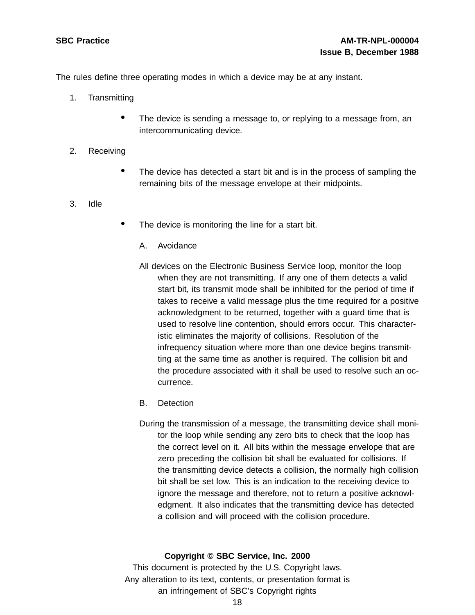The rules define three operating modes in which a device may be at any instant.

- 1. Transmitting
	- The device is sending a message to, or replying to a message from, an intercommunicating device.
- 2. Receiving
	- The device has detected a start bit and is in the process of sampling the remaining bits of the message envelope at their midpoints.
- 3. Idle
- The device is monitoring the line for a start bit.
	- A. Avoidance
	- All devices on the Electronic Business Service loop, monitor the loop when they are not transmitting. If any one of them detects a valid start bit, its transmit mode shall be inhibited for the period of time if takes to receive a valid message plus the time required for a positive acknowledgment to be returned, together with a guard time that is used to resolve line contention, should errors occur. This characteristic eliminates the majority of collisions. Resolution of the infrequency situation where more than one device begins transmitting at the same time as another is required. The collision bit and the procedure associated with it shall be used to resolve such an occurrence.
	- B. Detection
	- During the transmission of a message, the transmitting device shall monitor the loop while sending any zero bits to check that the loop has the correct level on it. All bits within the message envelope that are zero preceding the collision bit shall be evaluated for collisions. If the transmitting device detects a collision, the normally high collision bit shall be set low. This is an indication to the receiving device to ignore the message and therefore, not to return a positive acknowledgment. It also indicates that the transmitting device has detected a collision and will proceed with the collision procedure.

### **Copyright © SBC Service, Inc. 2000**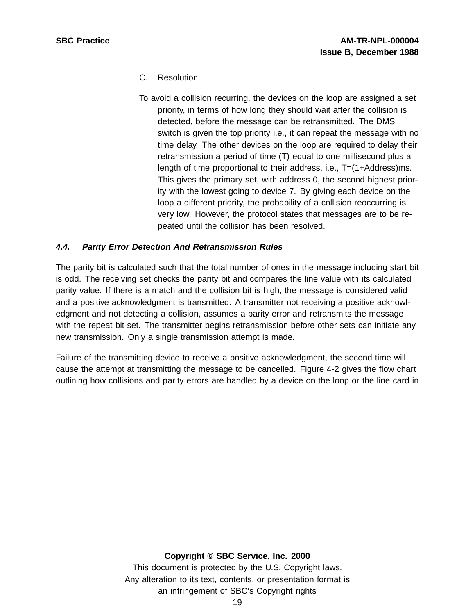### C. Resolution

To avoid a collision recurring, the devices on the loop are assigned a set priority, in terms of how long they should wait after the collision is detected, before the message can be retransmitted. The DMS switch is given the top priority i.e., it can repeat the message with no time delay. The other devices on the loop are required to delay their retransmission a period of time (T) equal to one millisecond plus a length of time proportional to their address, i.e., T=(1+Address)ms. This gives the primary set, with address 0, the second highest priority with the lowest going to device 7. By giving each device on the loop a different priority, the probability of a collision reoccurring is very low. However, the protocol states that messages are to be repeated until the collision has been resolved.

### **4.4. Parity Error Detection And Retransmission Rules**

The parity bit is calculated such that the total number of ones in the message including start bit is odd. The receiving set checks the parity bit and compares the line value with its calculated parity value. If there is a match and the collision bit is high, the message is considered valid and a positive acknowledgment is transmitted. A transmitter not receiving a positive acknowledgment and not detecting a collision, assumes a parity error and retransmits the message with the repeat bit set. The transmitter begins retransmission before other sets can initiate any new transmission. Only a single transmission attempt is made.

Failure of the transmitting device to receive a positive acknowledgment, the second time will cause the attempt at transmitting the message to be cancelled. Figure 4-2 gives the flow chart outlining how collisions and parity errors are handled by a device on the loop or the line card in

### **Copyright © SBC Service, Inc. 2000**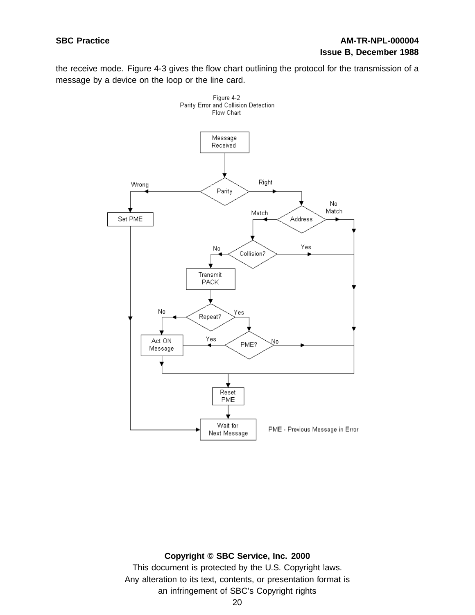the receive mode. Figure 4-3 gives the flow chart outlining the protocol for the transmission of a message by a device on the loop or the line card.



### **Copyright © SBC Service, Inc. 2000**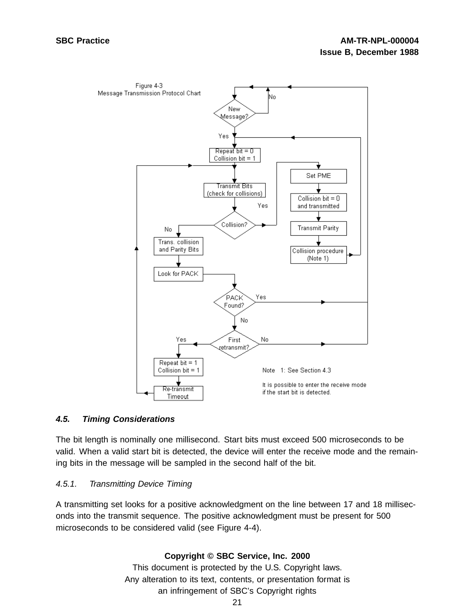

### **4.5. Timing Considerations**

The bit length is nominally one millisecond. Start bits must exceed 500 microseconds to be valid. When a valid start bit is detected, the device will enter the receive mode and the remaining bits in the message will be sampled in the second half of the bit.

### 4.5.1. Transmitting Device Timing

A transmitting set looks for a positive acknowledgment on the line between 17 and 18 milliseconds into the transmit sequence. The positive acknowledgment must be present for 500 microseconds to be considered valid (see Figure 4-4).

### **Copyright © SBC Service, Inc. 2000**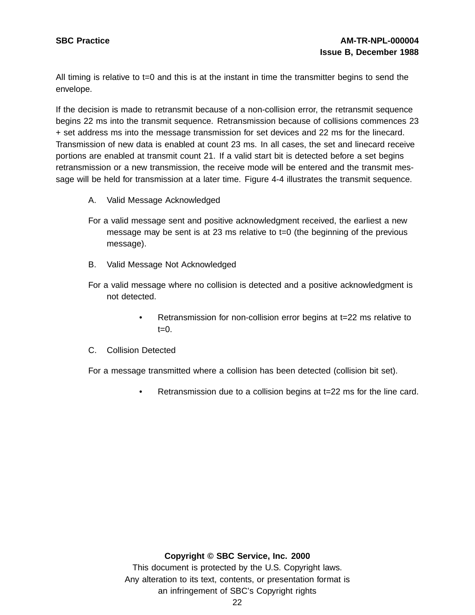All timing is relative to t=0 and this is at the instant in time the transmitter begins to send the envelope.

If the decision is made to retransmit because of a non-collision error, the retransmit sequence begins 22 ms into the transmit sequence. Retransmission because of collisions commences 23 + set address ms into the message transmission for set devices and 22 ms for the linecard. Transmission of new data is enabled at count 23 ms. In all cases, the set and linecard receive portions are enabled at transmit count 21. If a valid start bit is detected before a set begins retransmission or a new transmission, the receive mode will be entered and the transmit message will be held for transmission at a later time. Figure 4-4 illustrates the transmit sequence.

- A. Valid Message Acknowledged
- For a valid message sent and positive acknowledgment received, the earliest a new message may be sent is at 23 ms relative to t=0 (the beginning of the previous message).
- B. Valid Message Not Acknowledged
- For a valid message where no collision is detected and a positive acknowledgment is not detected.
	- Retransmission for non-collision error begins at t=22 ms relative to  $t=0$ .
- C. Collision Detected

For a message transmitted where a collision has been detected (collision bit set).

Retransmission due to a collision begins at t=22 ms for the line card.

### **Copyright © SBC Service, Inc. 2000**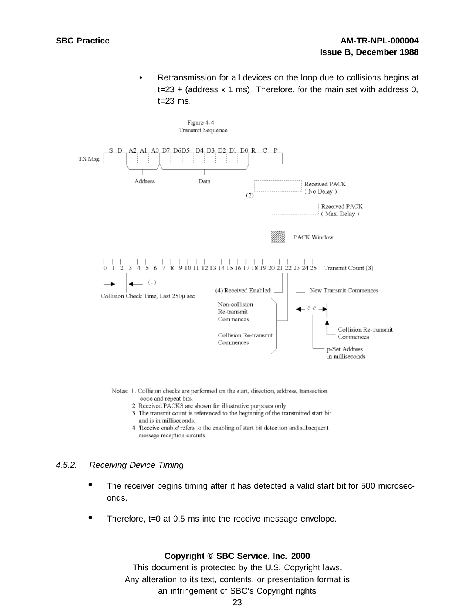• Retransmission for all devices on the loop due to collisions begins at  $t=23 + (address x 1 ms)$ . Therefore, for the main set with address 0, t=23 ms.



Notes: 1. Collision checks are performed on the start, direction, address, transaction code and repeat bits.

- Received PACKS are shown for illustrative purposes only.
- 3. The transmit count is referenced to the beginning of the transmitted start bit and is in milliseconds.
- 4. 'Receive enable' refers to the enabling of start bit detection and subsequent message reception circuits.

### 4.5.2. Receiving Device Timing

- The receiver begins timing after it has detected a valid start bit for 500 microseconds.
- Therefore, t=0 at 0.5 ms into the receive message envelope.

### **Copyright © SBC Service, Inc. 2000**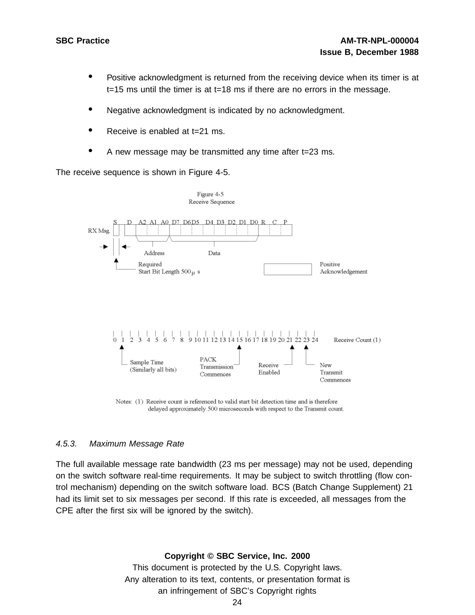- Positive acknowledgment is returned from the receiving device when its timer is at t=15 ms until the timer is at t=18 ms if there are no errors in the message.
- Negative acknowledgment is indicated by no acknowledgment.
- Receive is enabled at t=21 ms.
- <sup>A</sup> new message may be transmitted any time after t=23 ms.

The receive sequence is shown in Figure 4-5.



Notes: (1) Receive count is referenced to valid start bit detection time and is therefore delayed approximately 500 microseconds with respect to the Transmit count.

### 4.5.3. Maximum Message Rate

The full available message rate bandwidth (23 ms per message) may not be used, depending on the switch software real-time requirements. It may be subject to switch throttling (flow control mechanism) depending on the switch software load. BCS (Batch Change Supplement) 21 had its limit set to six messages per second. If this rate is exceeded, all messages from the CPE after the first six will be ignored by the switch).

### **Copyright © SBC Service, Inc. 2000**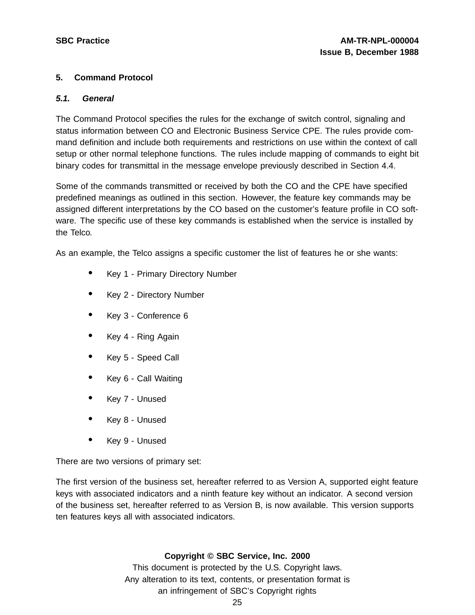### **5. Command Protocol**

### **5.1. General**

The Command Protocol specifies the rules for the exchange of switch control, signaling and status information between CO and Electronic Business Service CPE. The rules provide command definition and include both requirements and restrictions on use within the context of call setup or other normal telephone functions. The rules include mapping of commands to eight bit binary codes for transmittal in the message envelope previously described in Section 4.4.

Some of the commands transmitted or received by both the CO and the CPE have specified predefined meanings as outlined in this section. However, the feature key commands may be assigned different interpretations by the CO based on the customer's feature profile in CO software. The specific use of these key commands is established when the service is installed by the Telco.

As an example, the Telco assigns a specific customer the list of features he or she wants:

- Key <sup>1</sup> Primary Directory Number
- Key <sup>2</sup> Directory Number
- Key 3 Conference 6
- Key 4 Ring Again
- Key <sup>5</sup> Speed Call
- Key 6 Call Waiting
- Key <sup>7</sup> Unused
- Key <sup>8</sup> Unused
- Key <sup>9</sup> Unused

There are two versions of primary set:

The first version of the business set, hereafter referred to as Version A, supported eight feature keys with associated indicators and a ninth feature key without an indicator. A second version of the business set, hereafter referred to as Version B, is now available. This version supports ten features keys all with associated indicators.

### **Copyright © SBC Service, Inc. 2000**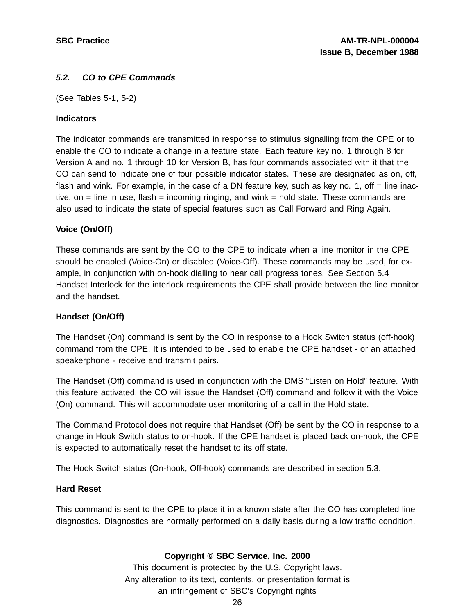### **5.2. CO to CPE Commands**

(See Tables 5-1, 5-2)

### **Indicators**

The indicator commands are transmitted in response to stimulus signalling from the CPE or to enable the CO to indicate a change in a feature state. Each feature key no. 1 through 8 for Version A and no. 1 through 10 for Version B, has four commands associated with it that the CO can send to indicate one of four possible indicator states. These are designated as on, off, flash and wink. For example, in the case of a DN feature key, such as key no. 1, off  $=$  line inactive, on  $=$  line in use, flash  $=$  incoming ringing, and wink  $=$  hold state. These commands are also used to indicate the state of special features such as Call Forward and Ring Again.

### **Voice (On/Off)**

These commands are sent by the CO to the CPE to indicate when a line monitor in the CPE should be enabled (Voice-On) or disabled (Voice-Off). These commands may be used, for example, in conjunction with on-hook dialling to hear call progress tones. See Section 5.4 Handset Interlock for the interlock requirements the CPE shall provide between the line monitor and the handset.

### **Handset (On/Off)**

The Handset (On) command is sent by the CO in response to a Hook Switch status (off-hook) command from the CPE. It is intended to be used to enable the CPE handset - or an attached speakerphone - receive and transmit pairs.

The Handset (Off) command is used in conjunction with the DMS "Listen on Hold" feature. With this feature activated, the CO will issue the Handset (Off) command and follow it with the Voice (On) command. This will accommodate user monitoring of a call in the Hold state.

The Command Protocol does not require that Handset (Off) be sent by the CO in response to a change in Hook Switch status to on-hook. If the CPE handset is placed back on-hook, the CPE is expected to automatically reset the handset to its off state.

The Hook Switch status (On-hook, Off-hook) commands are described in section 5.3.

### **Hard Reset**

This command is sent to the CPE to place it in a known state after the CO has completed line diagnostics. Diagnostics are normally performed on a daily basis during a low traffic condition.

### **Copyright © SBC Service, Inc. 2000**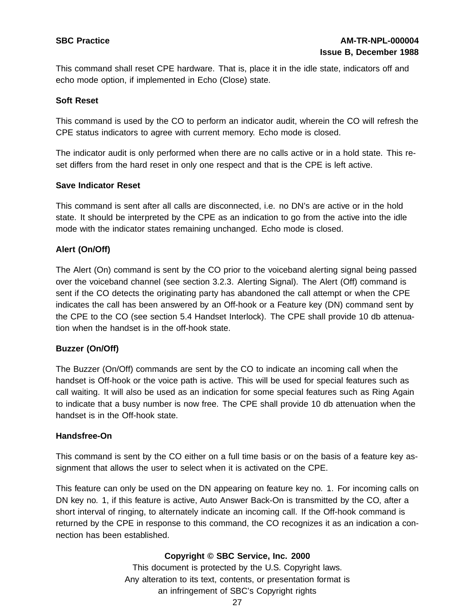This command shall reset CPE hardware. That is, place it in the idle state, indicators off and echo mode option, if implemented in Echo (Close) state.

### **Soft Reset**

This command is used by the CO to perform an indicator audit, wherein the CO will refresh the CPE status indicators to agree with current memory. Echo mode is closed.

The indicator audit is only performed when there are no calls active or in a hold state. This reset differs from the hard reset in only one respect and that is the CPE is left active.

### **Save Indicator Reset**

This command is sent after all calls are disconnected, i.e. no DN's are active or in the hold state. It should be interpreted by the CPE as an indication to go from the active into the idle mode with the indicator states remaining unchanged. Echo mode is closed.

### **Alert (On/Off)**

The Alert (On) command is sent by the CO prior to the voiceband alerting signal being passed over the voiceband channel (see section 3.2.3. Alerting Signal). The Alert (Off) command is sent if the CO detects the originating party has abandoned the call attempt or when the CPE indicates the call has been answered by an Off-hook or a Feature key (DN) command sent by the CPE to the CO (see section 5.4 Handset Interlock). The CPE shall provide 10 db attenuation when the handset is in the off-hook state.

### **Buzzer (On/Off)**

The Buzzer (On/Off) commands are sent by the CO to indicate an incoming call when the handset is Off-hook or the voice path is active. This will be used for special features such as call waiting. It will also be used as an indication for some special features such as Ring Again to indicate that a busy number is now free. The CPE shall provide 10 db attenuation when the handset is in the Off-hook state.

### **Handsfree-On**

This command is sent by the CO either on a full time basis or on the basis of a feature key assignment that allows the user to select when it is activated on the CPE.

This feature can only be used on the DN appearing on feature key no. 1. For incoming calls on DN key no. 1, if this feature is active, Auto Answer Back-On is transmitted by the CO, after a short interval of ringing, to alternately indicate an incoming call. If the Off-hook command is returned by the CPE in response to this command, the CO recognizes it as an indication a connection has been established.

### **Copyright © SBC Service, Inc. 2000**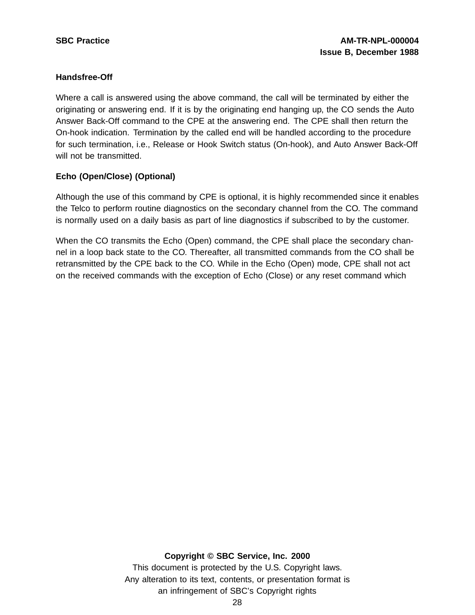### **Handsfree-Off**

Where a call is answered using the above command, the call will be terminated by either the originating or answering end. If it is by the originating end hanging up, the CO sends the Auto Answer Back-Off command to the CPE at the answering end. The CPE shall then return the On-hook indication. Termination by the called end will be handled according to the procedure for such termination, i.e., Release or Hook Switch status (On-hook), and Auto Answer Back-Off will not be transmitted.

### **Echo (Open/Close) (Optional)**

Although the use of this command by CPE is optional, it is highly recommended since it enables the Telco to perform routine diagnostics on the secondary channel from the CO. The command is normally used on a daily basis as part of line diagnostics if subscribed to by the customer.

When the CO transmits the Echo (Open) command, the CPE shall place the secondary channel in a loop back state to the CO. Thereafter, all transmitted commands from the CO shall be retransmitted by the CPE back to the CO. While in the Echo (Open) mode, CPE shall not act on the received commands with the exception of Echo (Close) or any reset command which

### **Copyright © SBC Service, Inc. 2000**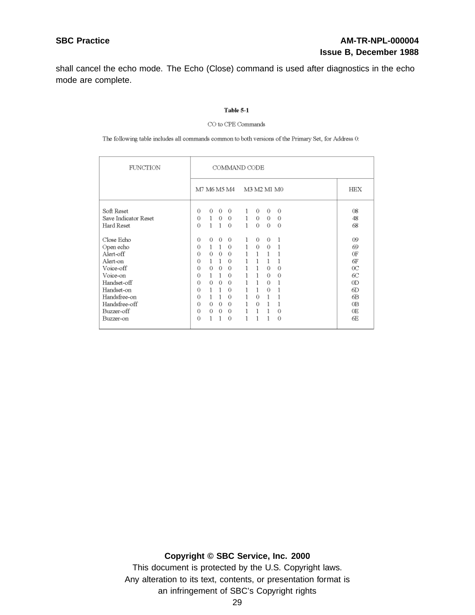## **SBC Practice AM-TR-NPL-000004 Issue B, December 1988**

shall cancel the echo mode. The Echo (Close) command is used after diagnostics in the echo mode are complete.

#### Table 5-1

### CO to CPE Commands

The following table includes all commands common to both versions of the Primary Set, for Address 0:

| FUNCTION                                                                                                                                                                                                  | COMMAND CODE                                                                                                                                                                                                                                                                                                                                                                                                                                                                                                               |                                                                                       |  |  |  |  |
|-----------------------------------------------------------------------------------------------------------------------------------------------------------------------------------------------------------|----------------------------------------------------------------------------------------------------------------------------------------------------------------------------------------------------------------------------------------------------------------------------------------------------------------------------------------------------------------------------------------------------------------------------------------------------------------------------------------------------------------------------|---------------------------------------------------------------------------------------|--|--|--|--|
|                                                                                                                                                                                                           | M7 M6 M5 M4<br>M3 M2 M1 M0                                                                                                                                                                                                                                                                                                                                                                                                                                                                                                 | <b>HEX</b>                                                                            |  |  |  |  |
| Soft Reset<br>Save Indicator Reset<br>Hard Reset<br>Close Echo<br>Open echo<br>Alert-off<br>Alert-on<br>Voice-off<br>Voice-on<br>Handset-off<br>Handset-on<br>Handsfree-on<br>Handsfree-off<br>Buzzer-off | 0<br>0<br>0<br>0<br>0<br>0<br>0<br>1<br>1<br>0<br>0<br>0<br>0<br>$\Omega$<br>$\Omega$<br>$\mathbf{1}$<br>1<br>0<br>1<br>0<br>0<br>0<br>0<br>0<br>0<br>0<br>$\Omega$<br>0<br>1<br>0<br>1<br>0<br>1<br>0<br>0<br>0<br>0<br>0<br>0<br>1<br>1<br>0<br>1<br>1<br>$\Omega$<br>0<br>1<br>0<br>0<br>0<br>0<br>1<br>$\Omega$<br>0<br>1<br>1<br>0<br>0<br>1<br>0<br>0<br>0<br>1<br>1<br>$\Omega$<br>0<br>0<br>0<br>0<br>1<br>1<br>0<br>1<br>0<br>0<br>1<br>0<br>0<br>1<br>1<br>0<br>0<br>0<br>0<br>0<br>0<br>0<br>0<br>0<br>$\Omega$ | 08<br>48<br>68<br>09<br>69<br>ΟF<br>6Е<br>$_{0C}$<br>6С<br>0D<br>6D<br>6B<br>0B<br>0E |  |  |  |  |
| Buzzer-on                                                                                                                                                                                                 | 0<br>1<br>0<br>1<br>$\Omega$                                                                                                                                                                                                                                                                                                                                                                                                                                                                                               | 6E                                                                                    |  |  |  |  |

### **Copyright © SBC Service, Inc. 2000**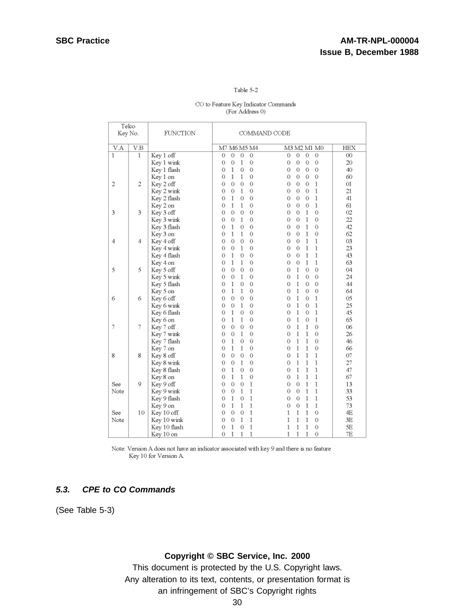Table 5-2

#### CO to Feature Key Indicator Commands (For Address 0)

| Telco        |                |                                                                                                 |              |             |                 |                  |                                                                               |
|--------------|----------------|-------------------------------------------------------------------------------------------------|--------------|-------------|-----------------|------------------|-------------------------------------------------------------------------------|
| Key No.      |                | <b>FUNCTION</b>                                                                                 | COMMAND CODE |             |                 |                  |                                                                               |
|              |                |                                                                                                 |              |             |                 |                  |                                                                               |
| V.A          | V.B            |                                                                                                 |              |             |                 | M7 M6 M5 M4      | M3 M2 M1 M0<br>HEX                                                            |
| 1            | 1              | Key 1 off                                                                                       | 0            | 0           | $\bf{0}$        | $\bf{0}$         | 0<br>0<br>0<br>0<br>OO.                                                       |
|              |                | Key 1 wink                                                                                      | 0            | 0           | 1               | 0                | 20<br>0<br>0<br>0<br>0                                                        |
|              |                | Key 1 flash                                                                                     | 0            | 1           | $\overline{0}$  | $\overline{0}$   | 40<br>0<br>0<br>0<br>0                                                        |
|              |                | Key 1 on                                                                                        | 0            | 1           | 1               | $\overline{0}$   | 0<br>60<br>0<br>0<br>0                                                        |
| 2            | $\overline{2}$ | Key 2 off                                                                                       | 0            | 0           | 0               | 0                | 1<br>0<br>0<br>0<br>01                                                        |
|              |                | Key 2 wink                                                                                      | 0            | 0           | 1               | 0                | 0<br>1<br>21<br>0<br>0                                                        |
|              |                | Key 2 flash                                                                                     | 0            | 1           | $\overline{0}$  | 0                | 0<br>0<br>0<br>1<br>41                                                        |
|              |                | Key 2 on                                                                                        | 0            | 1           | 1               | 0                | 0<br>1<br>61<br>0<br>0                                                        |
| 3            | 3              | Key 3 off                                                                                       | 0            | 0           | 0               | 0                | 02<br>0<br>1<br>0<br>0                                                        |
|              |                | Key 3 wink                                                                                      | 0            | 0           | 1               | $\overline{0}$   | $\overline{0}$<br>22<br>0<br>0<br>1                                           |
|              |                | Key 3 flash                                                                                     | 0            | 1           | 0               | 0                | 42<br>0<br>0<br>0<br>1                                                        |
|              |                | Key 3 on                                                                                        | 0            | 1           | 1               | 0                | 62<br>0<br>0<br>1<br>0                                                        |
| 4            | 4              | Key 4 off                                                                                       | 0            | 0           | $\overline{0}$  | $\overline{0}$   | 03<br>1<br>l<br>0<br>0                                                        |
|              |                | Key 4 wink                                                                                      | 0            | 0           | 1               | 0                | 23<br>0<br>l<br>0<br>1                                                        |
|              |                | Key 4 flash                                                                                     | 0            | 1           | 0               | 0                | 43<br>1<br>0<br>0<br>1                                                        |
|              |                | Key 4 on                                                                                        | 0            | 1           | 1               | 0                | l<br>63<br>0<br>1<br>0                                                        |
| 5            | 5              | Key 5 off                                                                                       | 0            | 0           | 0               | 0                | 1<br>0<br>0<br>0<br>04                                                        |
|              |                | Key 5 wink                                                                                      | 0            | 0           | 1               | 0                | 0<br>1<br>0<br>24<br>0                                                        |
|              |                | Key 5 flash                                                                                     | 0            | 1           | $\bf{0}$        | $\bf{0}$         | 1<br>0<br>$\overline{0}$<br>44<br>0                                           |
|              |                | Key 5 on                                                                                        | 0            | 1           | 1               | 0                | 1<br>$\overline{0}$<br>64<br>0<br>0                                           |
| 6            | 6              | Key 6 off                                                                                       | 0            | 0           | 0               | 0                | 1<br>05<br>0<br>1<br>0                                                        |
|              |                | Key 6 wink                                                                                      | 0            | 0           | 1               | $\overline{0}$   | 1<br>l<br>25<br>0<br>0                                                        |
|              |                | Key 6 flash                                                                                     | 0            | 1           | $\circ$         | $\circ$          | 1<br>l<br>0<br>0<br>45                                                        |
|              |                | Key 6 on                                                                                        | 0            | 1           | 1               | $\ddot{\rm{o}}$  | 65<br>0<br>1<br>1<br>0                                                        |
| 7            | 7              | Key 7 off                                                                                       | 0            | 0           | $\overline{0}$  | $\overline{0}$   | 0<br>1<br>0<br>06<br>1                                                        |
|              |                | Key 7 wink                                                                                      | 0            | 0           | 1               | 0                | 1<br>1<br>26<br>0<br>0                                                        |
|              |                | Key 7 flash                                                                                     | 0            | 1           | 0               | 0                | 0<br>1<br>1<br>0<br>46                                                        |
|              |                | Key 7 on                                                                                        | 0            | 1           | 1               | 0                | 1<br>0<br>1<br>0<br>66                                                        |
| 8            | 8              | Key 8 off                                                                                       | 0            | 0           | 0               | 0                | 1<br>07<br>0<br>1<br>l                                                        |
|              |                | Key 8 wink                                                                                      | 0            | 0           | 1               | $\theta$         | 27<br>1<br>1<br>0<br>1                                                        |
|              |                | Key 8 flash                                                                                     | 0            | 1           | $\overline{0}$  | $\circ$          | 1<br>l<br>47<br>0<br>1                                                        |
|              |                | Key 8 on                                                                                        | 0            | 1           | 1               | 0                | 1<br>1<br>l<br>67<br>0                                                        |
| See          | 9              | Key 9 off                                                                                       | 0            | 0           | $\ddot{\rm{o}}$ | 1                | 0<br>1<br>1<br>13<br>0                                                        |
|              |                |                                                                                                 | 0            | 0           |                 |                  | 0<br>0                                                                        |
|              |                |                                                                                                 | 0            |             | 0               |                  | 0<br>1                                                                        |
|              |                |                                                                                                 | 0            |             |                 |                  | 0<br>1<br>0                                                                   |
| See          | 10             |                                                                                                 | 0            | $\theta$    | $\theta$        | 1                | 1<br>0<br>1<br>1                                                              |
|              |                |                                                                                                 | 0            | 0           | 1               | 1                | 1<br>1<br>1<br>0                                                              |
|              |                |                                                                                                 |              |             |                 |                  |                                                                               |
|              |                |                                                                                                 | 0            | 1           | 1               | 1                | 7Ε<br>1<br>1<br>$\theta$<br>1                                                 |
| Note<br>Note |                | Key 9 wink<br>Key 9 flash<br>Key 9 on<br>Key 10 off<br>Key 10 wink<br>Key 10 flash<br>Key 10 on | 0            | 1<br>1<br>1 | 1<br>1<br>0     | 1<br>1<br>1<br>1 | 33<br>1<br>1<br>1<br>53<br>0<br>1<br>73<br>4E<br>3Ε<br>5Ε<br>1<br>1<br>1<br>0 |

Note: Version A does not have an indicator associated with key 9 and there is no feature Key 10 for Version A.

### **5.3. CPE to CO Commands**

(See Table 5-3)

### **Copyright © SBC Service, Inc. 2000**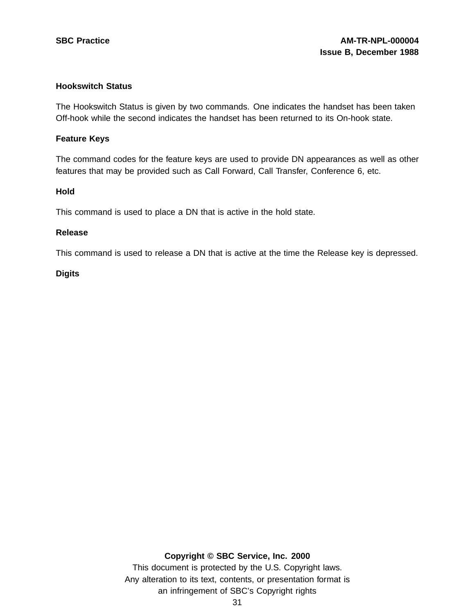### **Hookswitch Status**

The Hookswitch Status is given by two commands. One indicates the handset has been taken Off-hook while the second indicates the handset has been returned to its On-hook state.

### **Feature Keys**

The command codes for the feature keys are used to provide DN appearances as well as other features that may be provided such as Call Forward, Call Transfer, Conference 6, etc.

### **Hold**

This command is used to place a DN that is active in the hold state.

### **Release**

This command is used to release a DN that is active at the time the Release key is depressed.

### **Digits**

### **Copyright © SBC Service, Inc. 2000**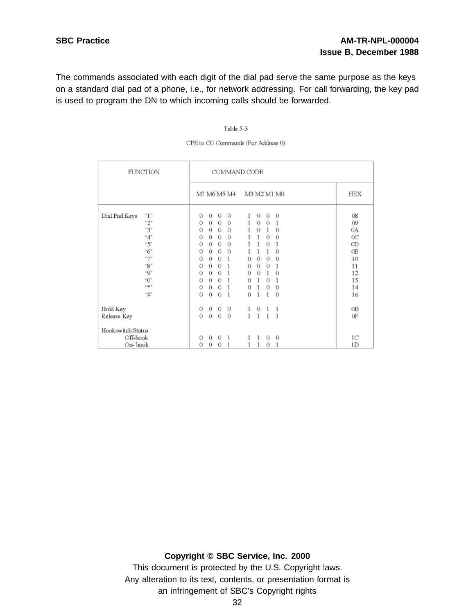The commands associated with each digit of the dial pad serve the same purpose as the keys on a standard dial pad of a phone, i.e., for network addressing. For call forwarding, the key pad is used to program the DN to which incoming calls should be forwarded.

| <b>FUNCTION</b>                                                                                                  | COMMAND CODE                                                                                                                                                                                                                                                                                                                                                                                                                                                                                                                                                                  |                                                                           |
|------------------------------------------------------------------------------------------------------------------|-------------------------------------------------------------------------------------------------------------------------------------------------------------------------------------------------------------------------------------------------------------------------------------------------------------------------------------------------------------------------------------------------------------------------------------------------------------------------------------------------------------------------------------------------------------------------------|---------------------------------------------------------------------------|
|                                                                                                                  | M7 M6 M5 M4<br>M3 M2 M1 M0                                                                                                                                                                                                                                                                                                                                                                                                                                                                                                                                                    | ΗEΧ                                                                       |
| Dial Pad Keys<br>°1'<br>'2'<br>'3'<br>۰4'<br>.5.<br>6'<br>.7'<br>$^{\circ}8'$<br>$\cdot$ 9'<br>°0°<br>を磨き<br>"#" | 0<br>0<br>0<br>0<br>0<br>$\circ$<br>1<br>$\circ$<br>0<br>0<br>0<br>0<br>0<br>$\theta$<br>1<br>1<br>1<br>0<br>0<br>0<br>0<br>0<br>0<br>0<br>1<br>0<br>0<br>0<br>0<br>$\circ$<br>0<br>0<br>0<br>0<br>1<br>1<br>$\circ$<br>0<br>1<br>1<br>0<br>0<br>0<br>0<br>1<br>0<br>$\theta$<br>0<br>0<br>$\circ$<br>$\theta$<br>0<br>0<br>0<br>0<br>1<br>0<br>0<br>1<br>0<br>0<br>0<br>0<br>1<br>0<br>0<br>1<br>0<br>0<br>1<br>0<br>$\circ$<br>1<br>$\circ$<br>1<br>0<br>0<br>0<br>-1<br>$\mathbf{0}$<br>1<br>0<br>$\overline{0}$<br>$\overline{0}$<br>1<br>0<br>0<br>0<br>1<br>0<br>1<br>0 | 08<br>09<br>0A<br>$_{0C}$<br>OD<br>0E<br>10<br>11<br>12<br>15<br>14<br>16 |
| Hold Key<br>Release Key                                                                                          | 0<br>0<br>0<br>0<br>$\circ$<br>1<br>1<br>1<br>1<br>0<br>1<br>1<br>0<br>0<br>0                                                                                                                                                                                                                                                                                                                                                                                                                                                                                                 | 0B<br>ΟF                                                                  |
| Hookswitch Status<br>Off-hook<br>On-hook                                                                         | 0<br>0<br>0<br>0<br>0<br>1<br>0<br>0<br>1<br>$\theta$<br>1<br>0<br>1                                                                                                                                                                                                                                                                                                                                                                                                                                                                                                          | 1 <sup>C</sup><br>1D                                                      |

#### Table 5-3

CPE to CO Commands (For Address 0)

### **Copyright © SBC Service, Inc. 2000**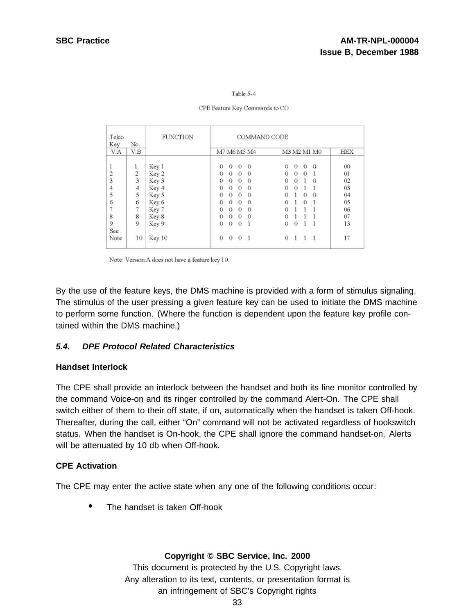### Table 5-4

#### CPE Feature Key Commands to CO

| Telco<br>Key                              | No.                                  | <b>FUNCTION</b>                                                               | COMMAND CODE                                                                                                                                                                                                                                                                                                                  |                                                                                                                                                  |                                                         |  |  |  |  |
|-------------------------------------------|--------------------------------------|-------------------------------------------------------------------------------|-------------------------------------------------------------------------------------------------------------------------------------------------------------------------------------------------------------------------------------------------------------------------------------------------------------------------------|--------------------------------------------------------------------------------------------------------------------------------------------------|---------------------------------------------------------|--|--|--|--|
| V.A                                       | V.B                                  |                                                                               | M7 M6 M5 M4                                                                                                                                                                                                                                                                                                                   | M3 M2 M1 M0                                                                                                                                      | HEX                                                     |  |  |  |  |
| 1<br>2<br>3<br>4<br>5<br>6<br>7<br>8<br>9 | 2<br>3<br>4<br>5<br>6<br>7<br>8<br>9 | Key 1<br>Key 2<br>Key 3<br>Key 4<br>Key 5<br>Key 6<br>Key 7<br>Key 8<br>Key 9 | -0<br>0<br>-0<br>0<br>0<br>$\Omega$<br>$\theta$<br>$\overline{0}$<br>0<br>0<br>$\overline{0}$<br>$\Omega$<br>0<br>$\Omega$<br>0<br>0<br>0.<br>-0<br>-0<br>0<br>0<br>0<br>0<br>-0<br>0<br>$\Omega$<br>$\Omega$<br>0<br>0<br>0<br>0<br>0<br>0<br>$\theta$<br>0<br>0<br>$\theta$<br>0<br>0<br>0<br>0<br>0<br>$\circ$<br>- 1<br>0 | 0<br>-0<br>-0<br>0<br>1<br>$\Omega$<br>0<br>$\Omega$<br>- 1<br>0<br>-0<br>0<br>1<br>1<br>$\Omega$<br>1<br>1<br>$\overline{1}$<br>$\Omega$<br>- 1 | $^{00}$<br>01<br>02<br>03<br>04<br>05<br>06<br>07<br>13 |  |  |  |  |
| See<br>Note                               | 10                                   | Key 10                                                                        | 0<br>0<br>0<br>-0<br>-1                                                                                                                                                                                                                                                                                                       | 1                                                                                                                                                | 17                                                      |  |  |  |  |

Note: Version A does not have a feature key 10.

By the use of the feature keys, the DMS machine is provided with a form of stimulus signaling. The stimulus of the user pressing a given feature key can be used to initiate the DMS machine to perform some function. (Where the function is dependent upon the feature key profile contained within the DMS machine.)

### **5.4. DPE Protocol Related Characteristics**

### **Handset Interlock**

The CPE shall provide an interlock between the handset and both its line monitor controlled by the command Voice-on and its ringer controlled by the command Alert-On. The CPE shall switch either of them to their off state, if on, automatically when the handset is taken Off-hook. Thereafter, during the call, either "On" command will not be activated regardless of hookswitch status. When the handset is On-hook, the CPE shall ignore the command handset-on. Alerts will be attenuated by 10 db when Off-hook.

### **CPE Activation**

The CPE may enter the active state when any one of the following conditions occur:

The handset is taken Off-hook

### **Copyright © SBC Service, Inc. 2000**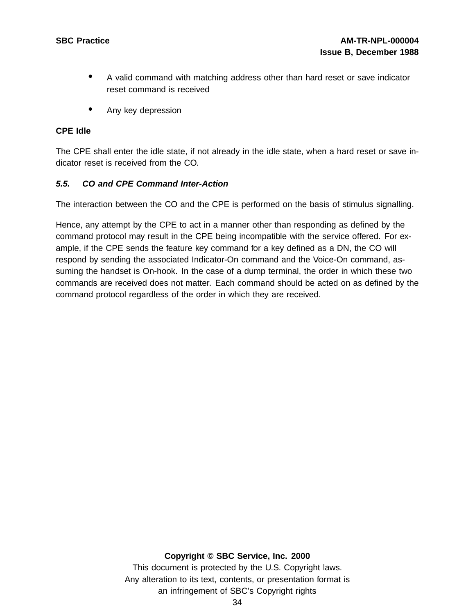- <sup>A</sup> valid command with matching address other than hard reset or save indicator reset command is received
- Any key depression

### **CPE Idle**

The CPE shall enter the idle state, if not already in the idle state, when a hard reset or save indicator reset is received from the CO.

### **5.5. CO and CPE Command Inter-Action**

The interaction between the CO and the CPE is performed on the basis of stimulus signalling.

Hence, any attempt by the CPE to act in a manner other than responding as defined by the command protocol may result in the CPE being incompatible with the service offered. For example, if the CPE sends the feature key command for a key defined as a DN, the CO will respond by sending the associated Indicator-On command and the Voice-On command, assuming the handset is On-hook. In the case of a dump terminal, the order in which these two commands are received does not matter. Each command should be acted on as defined by the command protocol regardless of the order in which they are received.

### **Copyright © SBC Service, Inc. 2000**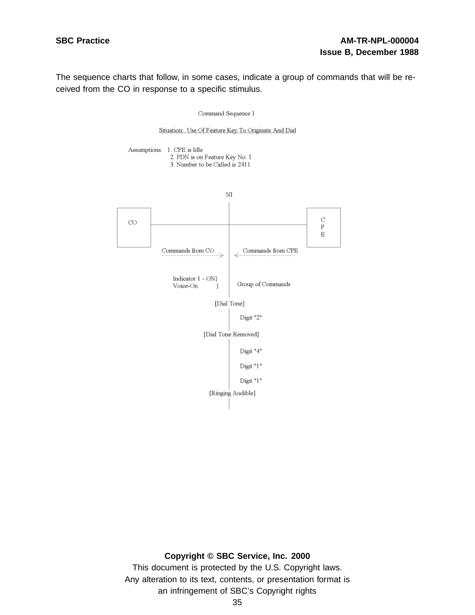### **SBC Practice AM-TR-NPL-000004 Issue B, December 1988**

The sequence charts that follow, in some cases, indicate a group of commands that will be received from the CO in response to a specific stimulus.



### **Copyright © SBC Service, Inc. 2000**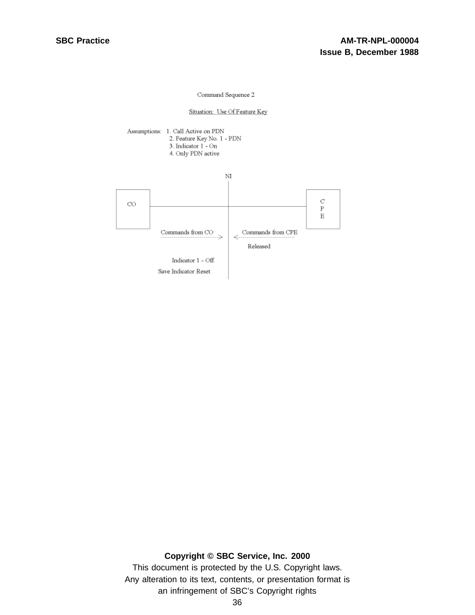#### Command Sequence 2

Situation: Use Of Feature Key



**Copyright © SBC Service, Inc. 2000**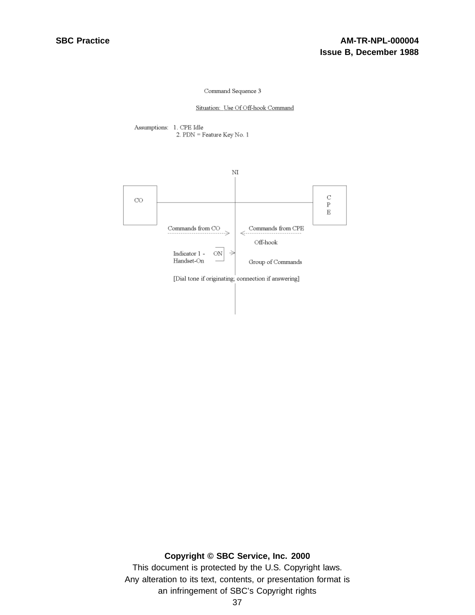### Command Sequence 3

#### Situation: Use Of Off-hook Command

Assumptions: 1. CPE Idle 2. PDN = Feature Key No. 1



### **Copyright © SBC Service, Inc. 2000**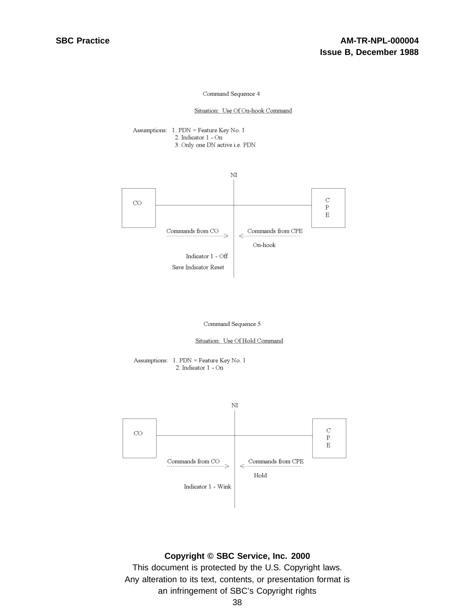Command Sequence 4

Situation: Use Of On-hook Command

Assumptions: 1. PDN = Feature Key No. 1 2. Indicator  $1$  -  $\mathrm{On}$ 3. Only one DN active i.e. PDN





Situation: Use Of Hold Command

Assumptions: 1. PDN = Feature Key No. 1 2. Indicator  $1$  -  $\mathrm{On}$ 



### **Copyright © SBC Service, Inc. 2000**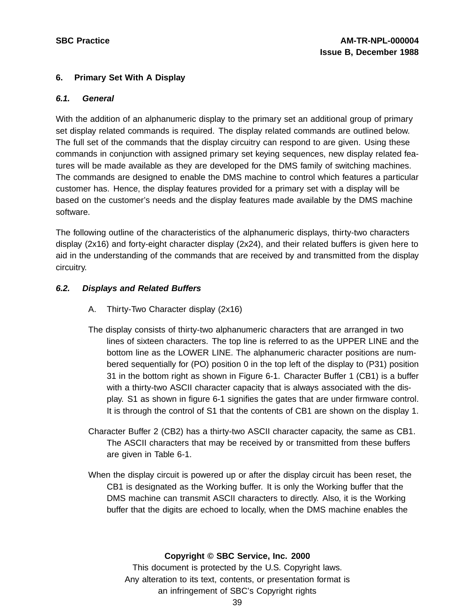### **6. Primary Set With A Display**

### **6.1. General**

With the addition of an alphanumeric display to the primary set an additional group of primary set display related commands is required. The display related commands are outlined below. The full set of the commands that the display circuitry can respond to are given. Using these commands in conjunction with assigned primary set keying sequences, new display related features will be made available as they are developed for the DMS family of switching machines. The commands are designed to enable the DMS machine to control which features a particular customer has. Hence, the display features provided for a primary set with a display will be based on the customer's needs and the display features made available by the DMS machine software.

The following outline of the characteristics of the alphanumeric displays, thirty-two characters display (2x16) and forty-eight character display (2x24), and their related buffers is given here to aid in the understanding of the commands that are received by and transmitted from the display circuitry.

### **6.2. Displays and Related Buffers**

- A. Thirty-Two Character display (2x16)
- The display consists of thirty-two alphanumeric characters that are arranged in two lines of sixteen characters. The top line is referred to as the UPPER LINE and the bottom line as the LOWER LINE. The alphanumeric character positions are numbered sequentially for (PO) position 0 in the top left of the display to (P31) position 31 in the bottom right as shown in Figure 6-1. Character Buffer 1 (CB1) is a buffer with a thirty-two ASCII character capacity that is always associated with the display. S1 as shown in figure 6-1 signifies the gates that are under firmware control. It is through the control of S1 that the contents of CB1 are shown on the display 1.
- Character Buffer 2 (CB2) has a thirty-two ASCII character capacity, the same as CB1. The ASCII characters that may be received by or transmitted from these buffers are given in Table 6-1.
- When the display circuit is powered up or after the display circuit has been reset, the CB1 is designated as the Working buffer. It is only the Working buffer that the DMS machine can transmit ASCII characters to directly. Also, it is the Working buffer that the digits are echoed to locally, when the DMS machine enables the

### **Copyright © SBC Service, Inc. 2000**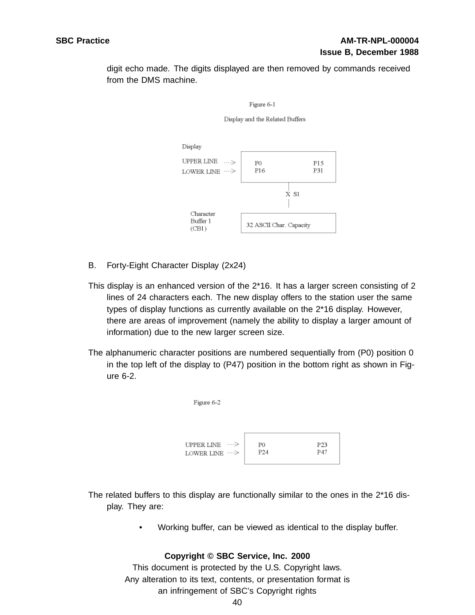digit echo made. The digits displayed are then removed by commands received from the DMS machine.

### Figure 6-1

Display and the Related Buffers



- B. Forty-Eight Character Display (2x24)
- This display is an enhanced version of the 2\*16. It has a larger screen consisting of 2 lines of 24 characters each. The new display offers to the station user the same types of display functions as currently available on the 2\*16 display. However, there are areas of improvement (namely the ability to display a larger amount of information) due to the new larger screen size.
- The alphanumeric character positions are numbered sequentially from (P0) position 0 in the top left of the display to (P47) position in the bottom right as shown in Figure 6-2.



The related buffers to this display are functionally similar to the ones in the 2\*16 display. They are:

• Working buffer, can be viewed as identical to the display buffer.

### **Copyright © SBC Service, Inc. 2000**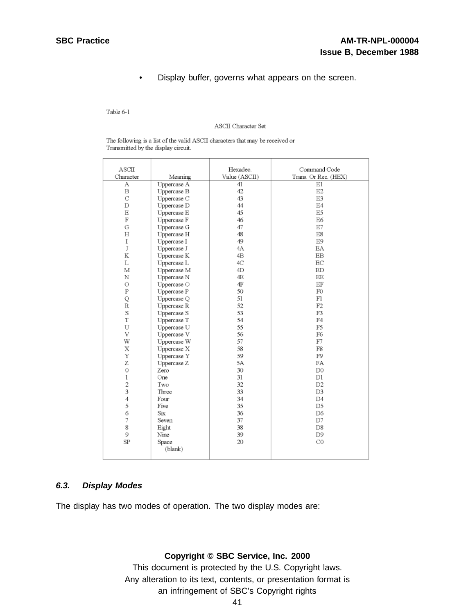### • Display buffer, governs what appears on the screen.

### Table 6-1

#### ASCII Character Set

The following is a list of the valid ASCII characters that may be received or Transmitted by the display circuit.

| $\boldsymbol{\Lambda}\boldsymbol{\mathsf{S}\boldsymbol{\mathsf{C}\boldsymbol{\mathsf{II}}}}$ |             | Hexadec.      | Command Code         |
|----------------------------------------------------------------------------------------------|-------------|---------------|----------------------|
| Character                                                                                    | Meaning     | Value (ASCII) | Trans. Or Rec. (HEX) |
| А                                                                                            | Uppercase A | 41            | Εl                   |
| В                                                                                            | Uppercase B | 42            | E2                   |
| С                                                                                            | Uppercase C | 43            | E3                   |
| D                                                                                            | Uppercase D | 44            | E4                   |
| Ε                                                                                            | Uppercase E | 45            | E5                   |
| F                                                                                            | Uppercase F | 46            | E6                   |
| G                                                                                            | Uppercase G | 47            | E7                   |
| Η                                                                                            | Uppercase H | 48            | E8                   |
| I                                                                                            | Uppercase I | 49            | E9                   |
| J                                                                                            | Uppercase J | 4A            | EA                   |
| К                                                                                            | Uppercase K | 4B            | EВ                   |
| Г                                                                                            | Uppercase L | 4C            | $\operatorname{EC}$  |
| М                                                                                            | Uppercase M | 4D            | ED                   |
| Ν                                                                                            | Uppercase N | 4Ε            | ЕE                   |
| О                                                                                            | Uppercase O | 4F            | EF                   |
| $\, {\bf P}$                                                                                 | Uppercase P | 50            | F <sub>0</sub>       |
| Q                                                                                            | Uppercase Q | 51            | Fl                   |
| R                                                                                            | Uppercase R | 52            | F2                   |
| S                                                                                            | Uppercase S | 53            | F3                   |
| T                                                                                            | Uppercase T | 54            | F4                   |
| U                                                                                            | Uppercase U | 55            | F5                   |
| V                                                                                            | Uppercase V | 56            | F6                   |
| W                                                                                            | Uppercase W | 57            | F7                   |
| Х                                                                                            | Uppercase X | 58            | F8                   |
| Υ                                                                                            | Uppercase Y | 59            | F9                   |
| Ζ                                                                                            | Uppercase Z | 5A            | FA                   |
| 0                                                                                            | Zero        | 30            | D0                   |
| $\mathbf{1}$                                                                                 | One         | 31            | D1                   |
| $\overline{c}$                                                                               | Two         | 32            | D <sub>2</sub>       |
| 3                                                                                            | Three       | 33            | D3                   |
| 4                                                                                            | Four        | 34            | D4                   |
| 5                                                                                            | Five        | 35            | D5                   |
| 6                                                                                            | $S_{IX}$    | 36            | D6                   |
| 7                                                                                            | Seven       | 37            | D7                   |
| 8                                                                                            | Eight       | 38            | D8                   |
| 9                                                                                            | Nine        | 39            | D9                   |
| SP                                                                                           | Space       | 20            | CO                   |
|                                                                                              | (blank)     |               |                      |
|                                                                                              |             |               |                      |

### **6.3. Display Modes**

The display has two modes of operation. The two display modes are:

### **Copyright © SBC Service, Inc. 2000**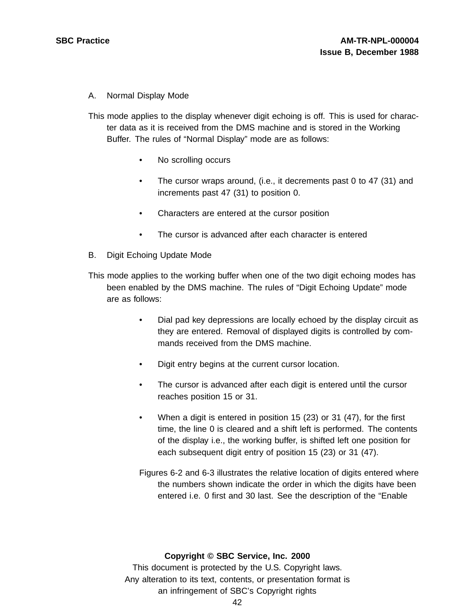- A. Normal Display Mode
- This mode applies to the display whenever digit echoing is off. This is used for character data as it is received from the DMS machine and is stored in the Working Buffer. The rules of "Normal Display" mode are as follows:
	- No scrolling occurs
	- The cursor wraps around, (i.e., it decrements past 0 to 47 (31) and increments past 47 (31) to position 0.
	- Characters are entered at the cursor position
	- The cursor is advanced after each character is entered
- B. Digit Echoing Update Mode
- This mode applies to the working buffer when one of the two digit echoing modes has been enabled by the DMS machine. The rules of "Digit Echoing Update" mode are as follows:
	- Dial pad key depressions are locally echoed by the display circuit as they are entered. Removal of displayed digits is controlled by commands received from the DMS machine.
	- Digit entry begins at the current cursor location.
	- The cursor is advanced after each digit is entered until the cursor reaches position 15 or 31.
	- When a digit is entered in position 15 (23) or 31 (47), for the first time, the line 0 is cleared and a shift left is performed. The contents of the display i.e., the working buffer, is shifted left one position for each subsequent digit entry of position 15 (23) or 31 (47).
	- Figures 6-2 and 6-3 illustrates the relative location of digits entered where the numbers shown indicate the order in which the digits have been entered i.e. 0 first and 30 last. See the description of the "Enable

### **Copyright © SBC Service, Inc. 2000**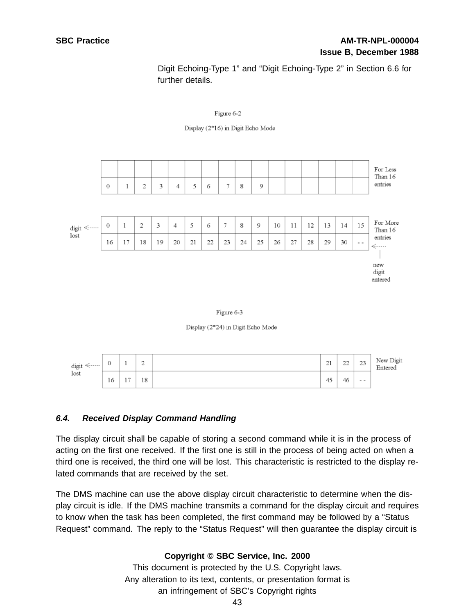Digit Echoing-Type 1" and "Digit Echoing-Type 2" in Section 6.6 for further details.

|                         | Figure 6-2 |           |       |    |                |    |                                   |                  |    |    |    |        |    |    |    |               |                                               |
|-------------------------|------------|-----------|-------|----|----------------|----|-----------------------------------|------------------|----|----|----|--------|----|----|----|---------------|-----------------------------------------------|
|                         |            |           |       |    |                |    | Display (2*16) in Digit Echo Mode |                  |    |    |    |        |    |    |    |               |                                               |
|                         |            |           |       |    |                |    |                                   |                  |    |    |    |        |    |    |    |               |                                               |
|                         |            |           |       |    |                |    |                                   |                  |    |    |    |        |    |    |    |               |                                               |
|                         |            |           |       |    |                |    |                                   |                  |    |    |    |        |    |    |    |               | For Less<br>Than 16                           |
|                         | $\,0\,$    | 1         | 2     | 3  | $\overline{4}$ | 5  | 6                                 | 7                | 8  | 9  |    |        |    |    |    |               | entries                                       |
|                         |            |           |       |    |                |    |                                   |                  |    |    |    |        |    |    |    |               |                                               |
|                         |            |           |       |    |                |    |                                   |                  |    |    |    |        |    |    |    |               |                                               |
| $_{\rm digit} < \cdots$ | $\,0\,$    | $\,$ $\,$ | $\,2$ | 3  | 4              | 5  | 6                                 | $\boldsymbol{7}$ | 8  | 9  | 10 | $11\,$ | 12 | 13 | 14 | 15            | For More<br>Than 16                           |
| $_{\rm lost}$           | 16         | 17        | 18    | 19 | 20             | 21 | 22                                | 23               | 24 | 25 | 26 | 27     | 28 | 29 | 30 | $\sim$ $\sim$ | entries<br>$\mathrel{<}{\cdot} \cdots \cdots$ |
|                         |            |           |       |    |                |    |                                   |                  |    |    |    |        |    |    |    |               |                                               |
|                         |            |           |       |    |                |    |                                   |                  |    |    |    |        |    |    |    |               | new<br>digit                                  |
|                         |            |           |       |    |                |    |                                   |                  |    |    |    |        |    |    |    |               | entered                                       |
|                         |            |           |       |    |                |    |                                   |                  |    |    |    |        |    |    |    |               |                                               |
|                         |            |           |       |    |                |    |                                   | Figure 6-3       |    |    |    |        |    |    |    |               |                                               |
|                         |            |           |       |    |                |    | Display (2*24) in Digit Echo Mode |                  |    |    |    |        |    |    |    |               |                                               |
|                         |            |           |       |    |                |    |                                   |                  |    |    |    |        |    |    |    |               |                                               |
|                         |            |           |       |    |                |    |                                   |                  |    |    |    |        |    |    |    |               |                                               |

| digit $\leq$ |    |               | C.<br>- | $\sim$ 1<br>$-1$ | $\sim$<br>ستدست       | 23<br>ت ک | New Digit<br>'titereo |
|--------------|----|---------------|---------|------------------|-----------------------|-----------|-----------------------|
| lost         | 16 | $\sim$ $\sim$ | 18      | т.,              | $\overline{1}$<br>-46 | $ -$      |                       |

## **6.4. Received Display Command Handling**

The display circuit shall be capable of storing a second command while it is in the process of acting on the first one received. If the first one is still in the process of being acted on when a third one is received, the third one will be lost. This characteristic is restricted to the display related commands that are received by the set.

The DMS machine can use the above display circuit characteristic to determine when the display circuit is idle. If the DMS machine transmits a command for the display circuit and requires to know when the task has been completed, the first command may be followed by a "Status Request" command. The reply to the "Status Request" will then guarantee the display circuit is

## **Copyright © SBC Service, Inc. 2000**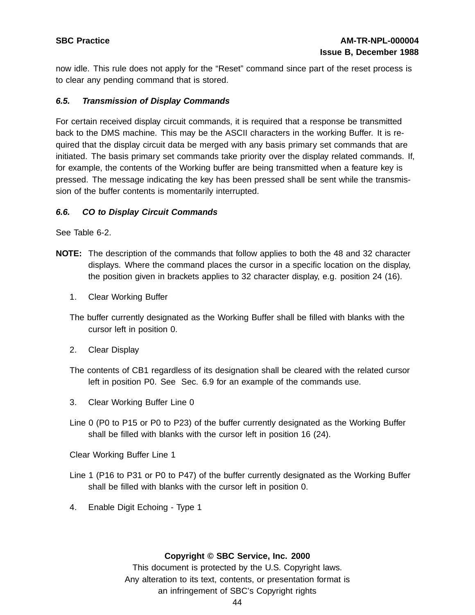now idle. This rule does not apply for the "Reset" command since part of the reset process is to clear any pending command that is stored.

### **6.5. Transmission of Display Commands**

For certain received display circuit commands, it is required that a response be transmitted back to the DMS machine. This may be the ASCII characters in the working Buffer. It is required that the display circuit data be merged with any basis primary set commands that are initiated. The basis primary set commands take priority over the display related commands. If, for example, the contents of the Working buffer are being transmitted when a feature key is pressed. The message indicating the key has been pressed shall be sent while the transmission of the buffer contents is momentarily interrupted.

### **6.6. CO to Display Circuit Commands**

See Table 6-2.

- **NOTE:** The description of the commands that follow applies to both the 48 and 32 character displays. Where the command places the cursor in a specific location on the display, the position given in brackets applies to 32 character display, e.g. position 24 (16).
	- 1. Clear Working Buffer
	- The buffer currently designated as the Working Buffer shall be filled with blanks with the cursor left in position 0.
	- 2. Clear Display
	- The contents of CB1 regardless of its designation shall be cleared with the related cursor left in position P0. See Sec. 6.9 for an example of the commands use.
	- 3. Clear Working Buffer Line 0
	- Line 0 (P0 to P15 or P0 to P23) of the buffer currently designated as the Working Buffer shall be filled with blanks with the cursor left in position 16 (24).

Clear Working Buffer Line 1

- Line 1 (P16 to P31 or P0 to P47) of the buffer currently designated as the Working Buffer shall be filled with blanks with the cursor left in position 0.
- 4. Enable Digit Echoing Type 1

### **Copyright © SBC Service, Inc. 2000**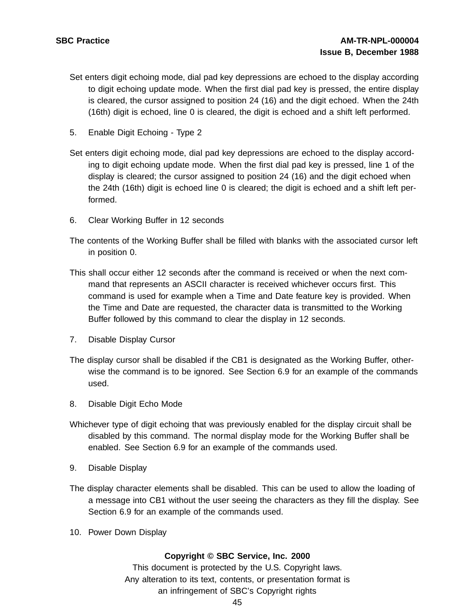- Set enters digit echoing mode, dial pad key depressions are echoed to the display according to digit echoing update mode. When the first dial pad key is pressed, the entire display is cleared, the cursor assigned to position 24 (16) and the digit echoed. When the 24th (16th) digit is echoed, line 0 is cleared, the digit is echoed and a shift left performed.
- 5. Enable Digit Echoing Type 2
- Set enters digit echoing mode, dial pad key depressions are echoed to the display according to digit echoing update mode. When the first dial pad key is pressed, line 1 of the display is cleared; the cursor assigned to position 24 (16) and the digit echoed when the 24th (16th) digit is echoed line 0 is cleared; the digit is echoed and a shift left performed.
- 6. Clear Working Buffer in 12 seconds
- The contents of the Working Buffer shall be filled with blanks with the associated cursor left in position 0.
- This shall occur either 12 seconds after the command is received or when the next command that represents an ASCII character is received whichever occurs first. This command is used for example when a Time and Date feature key is provided. When the Time and Date are requested, the character data is transmitted to the Working Buffer followed by this command to clear the display in 12 seconds.
- 7. Disable Display Cursor
- The display cursor shall be disabled if the CB1 is designated as the Working Buffer, otherwise the command is to be ignored. See Section 6.9 for an example of the commands used.
- 8. Disable Digit Echo Mode
- Whichever type of digit echoing that was previously enabled for the display circuit shall be disabled by this command. The normal display mode for the Working Buffer shall be enabled. See Section 6.9 for an example of the commands used.
- 9. Disable Display
- The display character elements shall be disabled. This can be used to allow the loading of a message into CB1 without the user seeing the characters as they fill the display. See Section 6.9 for an example of the commands used.
- 10. Power Down Display

### **Copyright © SBC Service, Inc. 2000**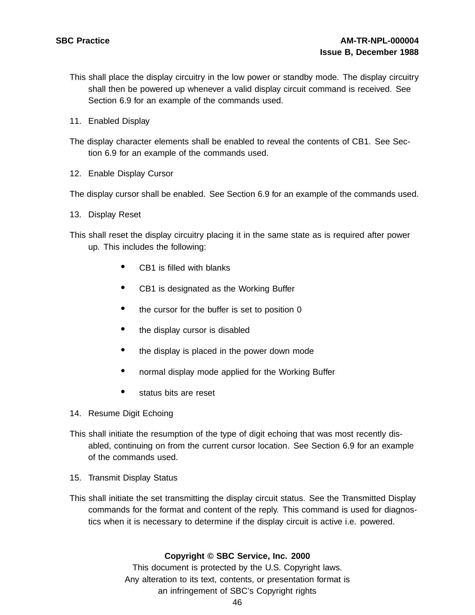- This shall place the display circuitry in the low power or standby mode. The display circuitry shall then be powered up whenever a valid display circuit command is received. See Section 6.9 for an example of the commands used.
- 11. Enabled Display
- The display character elements shall be enabled to reveal the contents of CB1. See Section 6.9 for an example of the commands used.
- 12. Enable Display Cursor

The display cursor shall be enabled. See Section 6.9 for an example of the commands used.

13. Display Reset

This shall reset the display circuitry placing it in the same state as is required after power up. This includes the following:

- CB1 is filled with blanks
- CB1 is designated as the Working Buffer
- the cursor for the buffer is set to position 0
- the display cursor is disabled
- the display is placed in the power down mode
- normal display mode applied for the Working Buffer
- status bits are reset
- 14. Resume Digit Echoing
- This shall initiate the resumption of the type of digit echoing that was most recently disabled, continuing on from the current cursor location. See Section 6.9 for an example of the commands used.
- 15. Transmit Display Status
- This shall initiate the set transmitting the display circuit status. See the Transmitted Display commands for the format and content of the reply. This command is used for diagnostics when it is necessary to determine if the display circuit is active i.e. powered.

### **Copyright © SBC Service, Inc. 2000**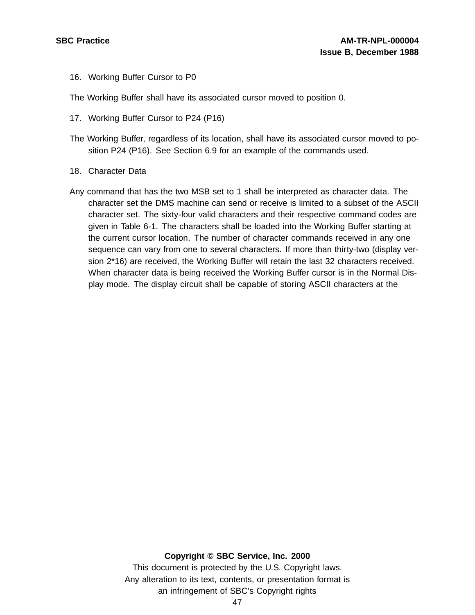16. Working Buffer Cursor to P0

The Working Buffer shall have its associated cursor moved to position 0.

- 17. Working Buffer Cursor to P24 (P16)
- The Working Buffer, regardless of its location, shall have its associated cursor moved to position P24 (P16). See Section 6.9 for an example of the commands used.
- 18. Character Data
- Any command that has the two MSB set to 1 shall be interpreted as character data. The character set the DMS machine can send or receive is limited to a subset of the ASCII character set. The sixty-four valid characters and their respective command codes are given in Table 6-1. The characters shall be loaded into the Working Buffer starting at the current cursor location. The number of character commands received in any one sequence can vary from one to several characters. If more than thirty-two (display version 2\*16) are received, the Working Buffer will retain the last 32 characters received. When character data is being received the Working Buffer cursor is in the Normal Display mode. The display circuit shall be capable of storing ASCII characters at the

### **Copyright © SBC Service, Inc. 2000**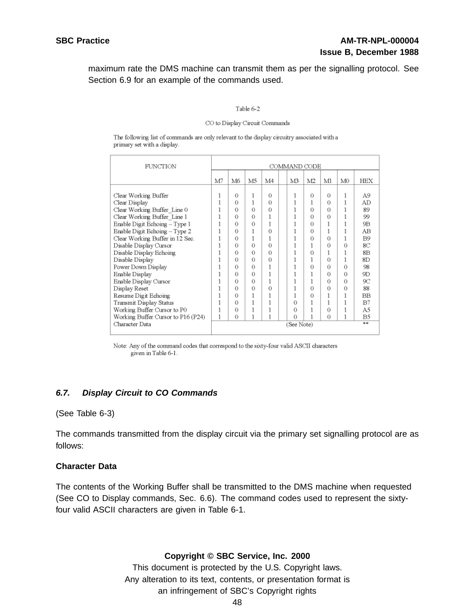### **SBC Practice AM-TR-NPL-000004 Issue B, December 1988**

maximum rate the DMS machine can transmit them as per the signalling protocol. See Section 6.9 for an example of the commands used.

#### Table 6-2

#### CO to Display Circuit Commands

The following list of commands are only relevant to the display circuitry associated with a primary set with a display.

| FUNCTION                                                                                                                                                                                                                                                                                                                                                                                                                                                                                   |                           |                                                                                                                                    |                                                                                   |                                                                  | COMMAND CODE |                                                              |                                                          |                              |                                                                                                          |
|--------------------------------------------------------------------------------------------------------------------------------------------------------------------------------------------------------------------------------------------------------------------------------------------------------------------------------------------------------------------------------------------------------------------------------------------------------------------------------------------|---------------------------|------------------------------------------------------------------------------------------------------------------------------------|-----------------------------------------------------------------------------------|------------------------------------------------------------------|--------------|--------------------------------------------------------------|----------------------------------------------------------|------------------------------|----------------------------------------------------------------------------------------------------------|
|                                                                                                                                                                                                                                                                                                                                                                                                                                                                                            | M7                        | M6                                                                                                                                 | M <sub>5</sub>                                                                    | M <sub>4</sub>                                                   | M3           | M2                                                           | мı                                                       | M0                           | HЕX                                                                                                      |
| Clear Working Buffer<br>Clear Display<br>Clear Working Buffer Line 0<br>Clear Working Buffer Line 1<br>Enable Digit Echoing - Type 1<br>Enable Digit Echoing - Type 2<br>Clear Working Buffer in 12 Sec.<br>Disable Display Cursor<br>Disable Display Echoing<br>Disable Display<br>Power Down Display<br>Enable Display<br>Enable Display Cursor<br>Display Reset<br>Resume Digit Echoing<br>Transmit Display Status<br>Working Buffer Cursor to P0<br>Working Buffer Cursor to P16 (P24) |                           | 0<br>0<br>$\Omega$<br>$\Omega$<br>0<br>0<br>0<br>0<br>$\Omega$<br>$\Omega$<br>0<br>$\Omega$<br>0<br>0<br>$\Omega$<br>$\Omega$<br>0 | $\Omega$<br>$\Omega$<br>0<br>0<br>$\Omega$<br>$\Omega$<br>0<br>$\Omega$<br>0<br>0 | 0<br>0<br>$\Omega$<br>$\Omega$<br>0<br>$\Omega$<br>$\Omega$<br>0 | O<br>0       | 0<br>0<br>$\Omega$<br>0<br>0<br>0<br>$\Omega$<br>0<br>0<br>0 | 0<br>0<br>0<br>0<br>0<br>0<br>0<br>0<br>0<br>0<br>0<br>0 | 0<br>0<br>$\Omega$<br>0<br>0 | A9<br>AD<br>89<br>99<br>9Β<br>AВ<br>B9<br>8С<br>8B<br>8D<br>98<br>9D<br>9С<br>88<br>ΒB<br>B7<br>A5<br>B5 |
| Character Data                                                                                                                                                                                                                                                                                                                                                                                                                                                                             | 0<br>0<br>0<br>(See Note) |                                                                                                                                    |                                                                                   |                                                                  | **           |                                                              |                                                          |                              |                                                                                                          |

Note: Any of the command codes that correspond to the sixty-four valid ASCII characters given in Table 6-1.

### **6.7. Display Circuit to CO Commands**

### (See Table 6-3)

The commands transmitted from the display circuit via the primary set signalling protocol are as follows:

### **Character Data**

The contents of the Working Buffer shall be transmitted to the DMS machine when requested (See CO to Display commands, Sec. 6.6). The command codes used to represent the sixtyfour valid ASCII characters are given in Table 6-1.

### **Copyright © SBC Service, Inc. 2000**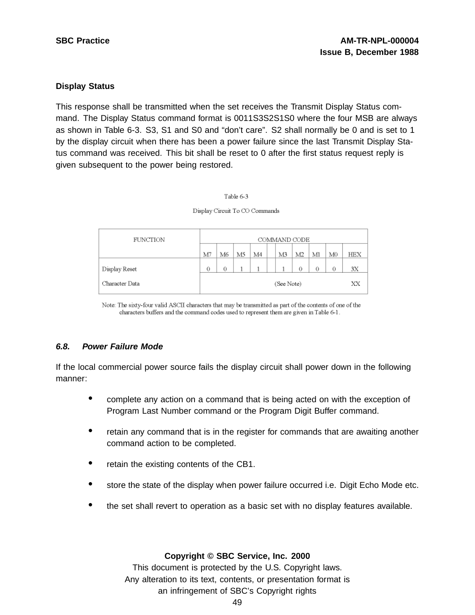### **Display Status**

This response shall be transmitted when the set receives the Transmit Display Status command. The Display Status command format is 0011S3S2S1S0 where the four MSB are always as shown in Table 6-3. S3, S1 and S0 and "don't care". S2 shall normally be 0 and is set to 1 by the display circuit when there has been a power failure since the last Transmit Display Status command was received. This bit shall be reset to 0 after the first status request reply is given subsequent to the power being restored.

|--|--|

Display Circuit To CO Commands

| FUNCTION       | COMMAND CODE |    |    |                |  |            |                |    |                |     |
|----------------|--------------|----|----|----------------|--|------------|----------------|----|----------------|-----|
|                | M7           | M6 | M5 | M <sub>4</sub> |  | M3         | M <sub>2</sub> | М1 | M <sub>0</sub> | HЕX |
| Display Reset  | 0            | 0  |    |                |  |            | 0              | 0  | 0              | 3X  |
| Character Data |              |    |    |                |  | (See Note) |                |    |                | XX  |

Note: The sixty-four valid ASCII characters that may be transmitted as part of the contents of one of the characters buffers and the command codes used to represent them are given in Table 6-1.

### **6.8. Power Failure Mode**

If the local commercial power source fails the display circuit shall power down in the following manner:

- complete any action on a command that is being acted on with the exception of Program Last Number command or the Program Digit Buffer command.
- retain any command that is in the register for commands that are awaiting another command action to be completed.
- retain the existing contents of the CB1.
- store the state of the display when power failure occurred i.e. Digit Echo Mode etc.
- the set shall revert to operation as <sup>a</sup> basic set with no display features available.

### **Copyright © SBC Service, Inc. 2000**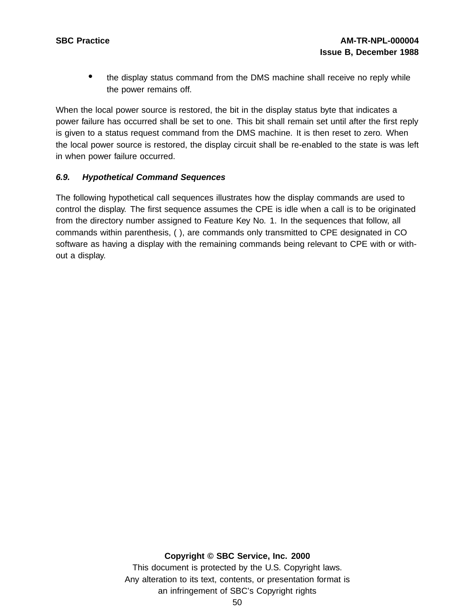• the display status command from the DMS machine shall receive no reply while the power remains off.

When the local power source is restored, the bit in the display status byte that indicates a power failure has occurred shall be set to one. This bit shall remain set until after the first reply is given to a status request command from the DMS machine. It is then reset to zero. When the local power source is restored, the display circuit shall be re-enabled to the state is was left in when power failure occurred.

### **6.9. Hypothetical Command Sequences**

The following hypothetical call sequences illustrates how the display commands are used to control the display. The first sequence assumes the CPE is idle when a call is to be originated from the directory number assigned to Feature Key No. 1. In the sequences that follow, all commands within parenthesis, ( ), are commands only transmitted to CPE designated in CO software as having a display with the remaining commands being relevant to CPE with or without a display.

### **Copyright © SBC Service, Inc. 2000**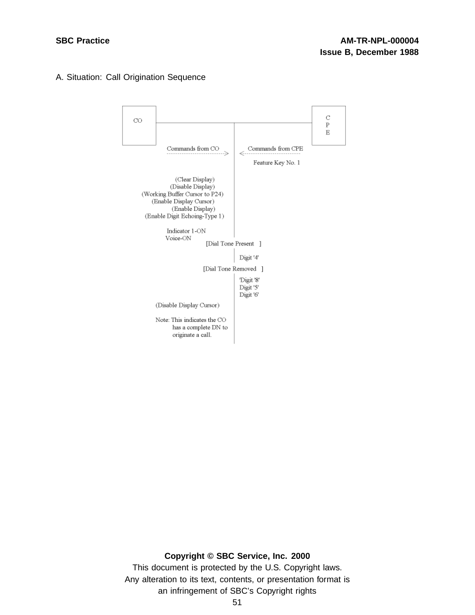### A. Situation: Call Origination Sequence



### **Copyright © SBC Service, Inc. 2000**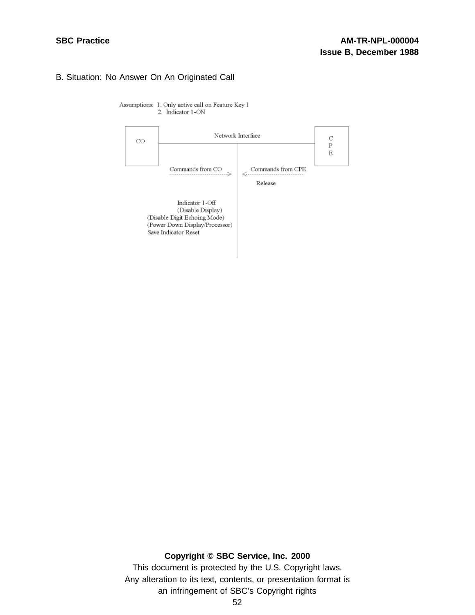### B. Situation: No Answer On An Originated Call



Assumptions: 1. Only active call on Feature Key 1 2. Indicator 1-ON

### **Copyright © SBC Service, Inc. 2000**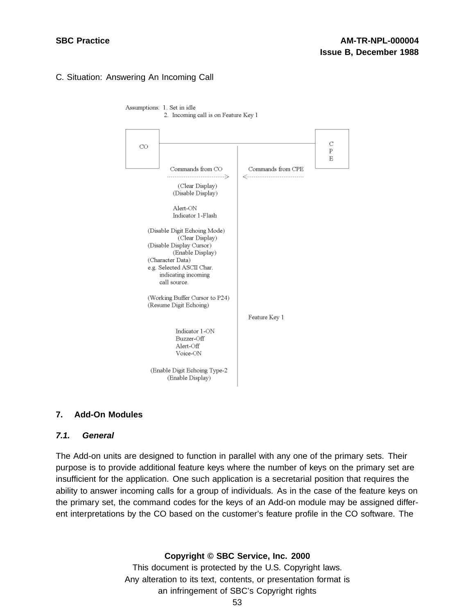### C. Situation: Answering An Incoming Call



**7. Add-On Modules**

### **7.1. General**

The Add-on units are designed to function in parallel with any one of the primary sets. Their purpose is to provide additional feature keys where the number of keys on the primary set are insufficient for the application. One such application is a secretarial position that requires the ability to answer incoming calls for a group of individuals. As in the case of the feature keys on the primary set, the command codes for the keys of an Add-on module may be assigned different interpretations by the CO based on the customer's feature profile in the CO software. The

### **Copyright © SBC Service, Inc. 2000**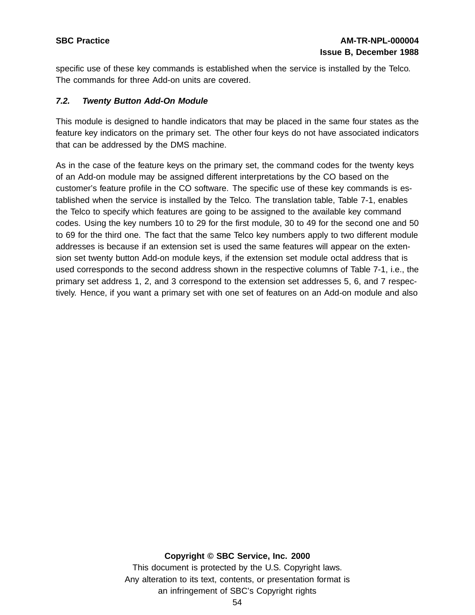specific use of these key commands is established when the service is installed by the Telco. The commands for three Add-on units are covered.

### **7.2. Twenty Button Add-On Module**

This module is designed to handle indicators that may be placed in the same four states as the feature key indicators on the primary set. The other four keys do not have associated indicators that can be addressed by the DMS machine.

As in the case of the feature keys on the primary set, the command codes for the twenty keys of an Add-on module may be assigned different interpretations by the CO based on the customer's feature profile in the CO software. The specific use of these key commands is established when the service is installed by the Telco. The translation table, Table 7-1, enables the Telco to specify which features are going to be assigned to the available key command codes. Using the key numbers 10 to 29 for the first module, 30 to 49 for the second one and 50 to 69 for the third one. The fact that the same Telco key numbers apply to two different module addresses is because if an extension set is used the same features will appear on the extension set twenty button Add-on module keys, if the extension set module octal address that is used corresponds to the second address shown in the respective columns of Table 7-1, i.e., the primary set address 1, 2, and 3 correspond to the extension set addresses 5, 6, and 7 respectively. Hence, if you want a primary set with one set of features on an Add-on module and also

### **Copyright © SBC Service, Inc. 2000**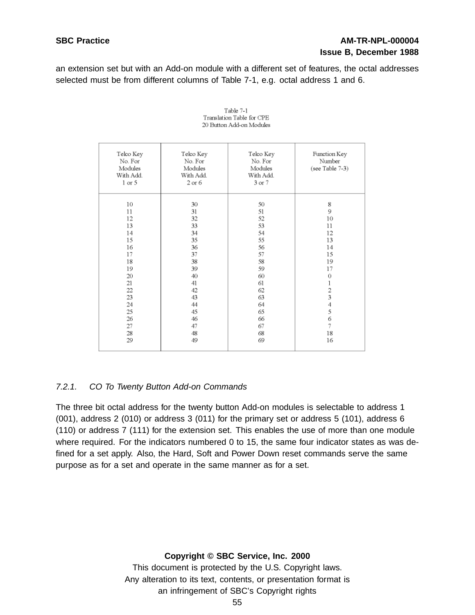## **SBC Practice AM-TR-NPL-000004 Issue B, December 1988**

an extension set but with an Add-on module with a different set of features, the octal addresses selected must be from different columns of Table 7-1, e.g. octal address 1 and 6.

| Telco Key<br>No. For<br>Modules<br>With Add.<br>$1$ or $5$ | Telco Key<br>No. For<br>Modules<br>With Add.<br>$2$ or $6$ | Telco Key<br>No. For<br>Modules<br>With Add.<br>3 or 7 | Function Key<br>Number<br>(see Table 7-3) |
|------------------------------------------------------------|------------------------------------------------------------|--------------------------------------------------------|-------------------------------------------|
| 10                                                         | 30                                                         | 50                                                     | 8                                         |
| 11                                                         | 31                                                         | 51                                                     | 9                                         |
| 12                                                         | 32                                                         | 52                                                     | 10                                        |
| 13                                                         | 33                                                         | 53                                                     | 11                                        |
| 14                                                         | 34                                                         | 54                                                     | 12                                        |
| 15                                                         | 35                                                         | 55                                                     | 13                                        |
| 16                                                         | 36                                                         | 56                                                     | 14                                        |
| 17                                                         | 37                                                         | 57                                                     | 15                                        |
| 18                                                         | 38                                                         | 58                                                     | 19                                        |
| 19                                                         | 39                                                         | 59                                                     | 17                                        |
| 20                                                         | 40                                                         | 60                                                     | 0                                         |
| 21                                                         | 41                                                         | 61                                                     | $\mathbf{1}$                              |
| 22                                                         | 42                                                         | 62                                                     | $\overline{c}$                            |
| 23                                                         | 43                                                         | 63                                                     | 3                                         |
| 24                                                         | 44                                                         | 64                                                     | 4                                         |
| 25                                                         | 45                                                         | 65                                                     | 5                                         |
| 26                                                         | 46                                                         | 66                                                     | 6                                         |
| 27                                                         | 47                                                         | 67                                                     | 7                                         |
| 28                                                         | 48                                                         | 68                                                     | 18                                        |
| 29                                                         | 49                                                         | 69                                                     | 16                                        |

Table 7-1 Translation Table for CPE 20 Button Add-on Modules

## 7.2.1. CO To Twenty Button Add-on Commands

The three bit octal address for the twenty button Add-on modules is selectable to address 1 (001), address 2 (010) or address 3 (011) for the primary set or address 5 (101), address 6 (110) or address 7 (111) for the extension set. This enables the use of more than one module where required. For the indicators numbered 0 to 15, the same four indicator states as was defined for a set apply. Also, the Hard, Soft and Power Down reset commands serve the same purpose as for a set and operate in the same manner as for a set.

### **Copyright © SBC Service, Inc. 2000**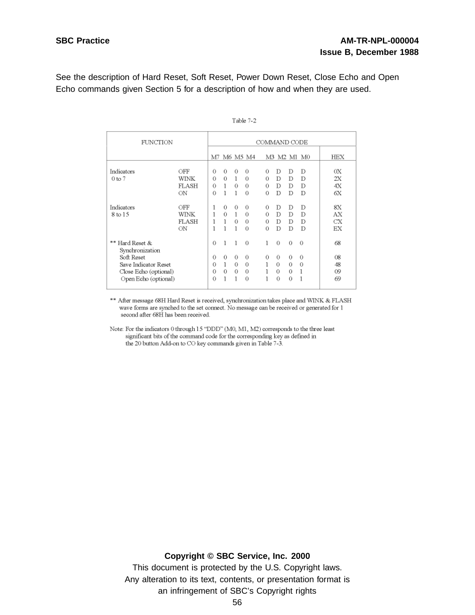See the description of Hard Reset, Soft Reset, Power Down Reset, Close Echo and Open Echo commands given Section 5 for a description of how and when they are used.

| FUNCTION                                                                                                                  |                                          |                                |                       |                                     |                                     | COMMAND CODE     |                              |                       |                              |                            |
|---------------------------------------------------------------------------------------------------------------------------|------------------------------------------|--------------------------------|-----------------------|-------------------------------------|-------------------------------------|------------------|------------------------------|-----------------------|------------------------------|----------------------------|
|                                                                                                                           |                                          | M7                             |                       |                                     | M6 M5 M4                            |                  |                              |                       | M3 M2 M1 M0                  | HEX                        |
| Indicators<br>0 to 7                                                                                                      | OFF<br><b>WINK</b><br><b>FLASH</b><br>OΝ | 0<br>$\Omega$<br>0<br>$\Omega$ | 0<br>0<br>1           | 0<br>1<br>0<br>1                    | 0<br>$\Omega$<br>0<br>0             | 0<br>0<br>0<br>0 | D<br>D<br>D<br>D             | D<br>D<br>D<br>D      | D<br>D<br>D<br>D             | 0X<br>2X<br>4X<br>6Х       |
| Indicators<br>8 to 15                                                                                                     | OFF<br>WINK<br>FLASH<br>OΝ               | 1<br>1<br>1                    | 0<br>0<br>1<br>1      | 0<br>1<br>$\Omega$<br>1             | 0<br>0<br>$\Omega$<br>$\Omega$      | 0<br>0<br>0<br>0 | D<br>D<br>D<br>Ð             | D<br>D<br>D<br>Ð      | D<br>D<br>D<br>D             | 8X<br>АX<br>СX<br>EX       |
| ** Hard Reset &<br>Synchronization<br>Soft Reset<br>Save Indicator Reset<br>Close Echo (optional)<br>Open Echo (optional) |                                          | $\Omega$<br>0<br>0<br>0<br>0   | 1<br>0<br>1<br>0<br>1 | 1<br>0<br>$\Omega$<br>$\Omega$<br>1 | $\Omega$<br>0<br>0<br>$\Omega$<br>0 | 1<br>0           | $\Omega$<br>0<br>0<br>0<br>0 | 0<br>0<br>0<br>0<br>0 | $\Omega$<br>0<br>0<br>ı<br>1 | 68<br>08<br>48<br>09<br>69 |

\*\* After message 68H Hard Reset is received, synchronization takes place and WINK & FLASH wave forms are synched to the set connect. No message can be received or generated for 1 second after 68H has been received.

Note: For the indicators  $0$  through  $15$  "DDD" (M0, M1, M2) corresponds to the three least significant bits of the command code for the corresponding key as defined in the 20 button Add-on to CO key commands given in Table 7-3.

### **Copyright © SBC Service, Inc. 2000**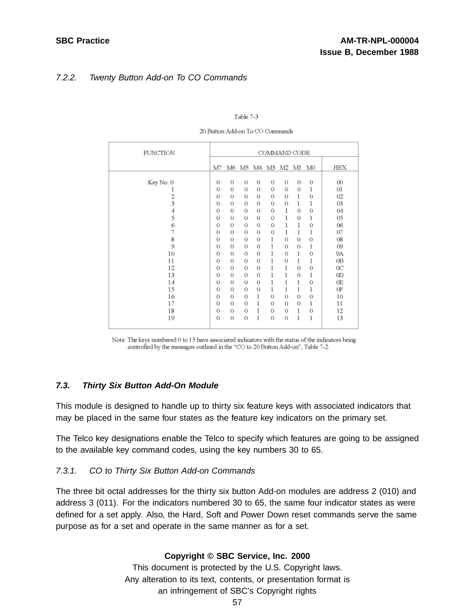### 7.2.2. Twenty Button Add-on To CO Commands

20 Button Add-on To CO Commands

| <b>FUNCTION</b> |    |    |   |          | COMMAND CODE   |          |         |    |             |
|-----------------|----|----|---|----------|----------------|----------|---------|----|-------------|
|                 | M7 | M6 |   |          | M5 M4 M3 M2 M1 |          |         | MO | <b>HEX</b>  |
|                 |    |    |   |          |                |          |         |    |             |
| Key No. 0       | 0  | 0  | 0 | 0        | 0              | 0        | $\circ$ | 0  | $^{00}$     |
|                 | 0  | 0  | 0 | 0        | 0              | $\Omega$ | $\circ$ | 1  | 01          |
| $\overline{c}$  | 0  | 0  | 0 | 0        | 0              | 0        | 1       | 0  | 02          |
| 3               | 0  | 0  | 0 | 0        | 0              | 0        | 1       | 1  | 03          |
| 4               | 0  | 0  | 0 | 0        | 0              | 1        | 0       | 0  | 04          |
| 5               | 0  | 0  | 0 | 0        | 0              |          | 0       | 1  | 05          |
| 6               | 0  | 0  | 0 | 0        | 0              | 1        | l       | 0  | 06          |
| 7               | 0  | 0  | 0 | 0        | 0              | 1        | 1       | 1  | 07          |
| 8               | 0  | 0  | 0 | 0        | 1              | 0        | 0       | 0  | $\infty$    |
| 9               | 0  | 0  | 0 | 0        | 1              | 0        | 0       | 1  | 09          |
| 10              | 0  | 0  | 0 | $\Omega$ | 1              | $\Omega$ | 1       | 0  | 9Α          |
| 11              | 0  | 0  | 0 | 0        | 1              | 0        |         | 1  | 0B          |
| 12              | 0  | 0  | 0 | 0        |                |          | 0       | 0  | $_{\rm OC}$ |
| 13              | 0  | 0  | 0 | $\Omega$ | 1              | 1        | 0       | 1  | 0D          |
| 14              | 0  | 0  | 0 | 0        | 1              |          | 1       | 0  | OΕ          |
| 15              | 0  | 0  | 0 | 0        | 1              |          |         | 1  | ΟF          |
| 16              | 0  | 0  | 0 | 1        | 0              | 0        | 0       | 0  | 10          |
| 17              | 0  | 0  | 0 | 1        | $\Omega$       | $\Omega$ | 0       | 1  | 11          |
| 18              | 0  | 0  | 0 | 1        | 0              | 0        |         | 0  | 12          |
| 19              | 0  | 0  | 0 | 1        | $\Omega$       | $\Omega$ | 1       | 1  | 13          |
|                 |    |    |   |          |                |          |         |    |             |

Note: The keys numbered 0 to 15 have associated indicators with the status of the indicators being controlled by the messages outlined in the "CO to 20 Button Add-on", Table 7-2.

### **7.3. Thirty Six Button Add-On Module**

This module is designed to handle up to thirty six feature keys with associated indicators that may be placed in the same four states as the feature key indicators on the primary set.

The Telco key designations enable the Telco to specify which features are going to be assigned to the available key command codes, using the key numbers 30 to 65.

### 7.3.1. CO to Thirty Six Button Add-on Commands

The three bit octal addresses for the thirty six button Add-on modules are address 2 (010) and address 3 (011). For the indicators numbered 30 to 65, the same four indicator states as were defined for a set apply. Also, the Hard, Soft and Power Down reset commands serve the same purpose as for a set and operate in the same manner as for a set.

### **Copyright © SBC Service, Inc. 2000**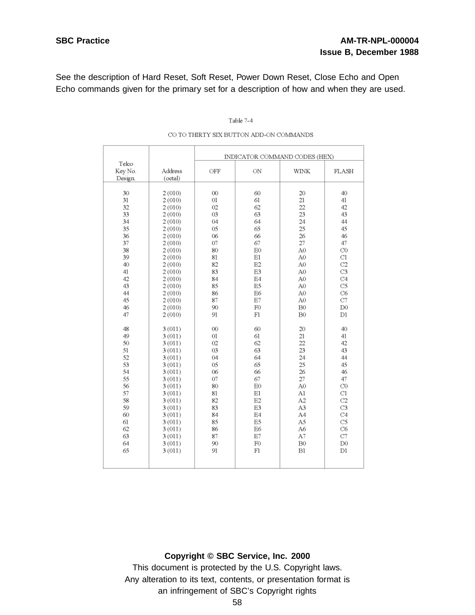### **SBC Practice AM-TR-NPL-000004 Issue B, December 1988**

See the description of Hard Reset, Soft Reset, Power Down Reset, Close Echo and Open Echo commands given for the primary set for a description of how and when they are used.

#### Table 7-4

## CO TO THIRTY SIX BUTTON ADD-ON COMMANDS

|                  |         | INDICATOR COMMAND CODES (HEX) |                |                |                |  |
|------------------|---------|-------------------------------|----------------|----------------|----------------|--|
| Telco<br>Key No. | Address | OFF                           | ON             | <b>WINK</b>    | FLASH          |  |
| Design           | (octal) |                               |                |                |                |  |
| 30               | 2(010)  | $_{00}$                       | 60             | 20             | 40             |  |
| 31               | 2(010)  | 01                            | 61             | 21             | 41             |  |
| 32               | 2(010)  | 02                            | 62             | 22             | 42             |  |
| 33               | 2(010)  | 03                            | 63             | 23             | 43             |  |
| 34               | 2(010)  | 04                            | 64             | 24             | 44             |  |
| 35               | 2(010)  | 05                            | 65             | 25             | 45             |  |
| 36               | 2(010)  | 06                            | 66             | 26             | 46             |  |
| 37               | 2(010)  | 07                            | 67             | 27             | 47             |  |
| 38               | 2(010)  | 80                            | E0             | A0             | $_{\rm CO}$    |  |
| 39               | 2(010)  | 81                            | E1             | A0             | $_{\rm C1}$    |  |
| 40               | 2(010)  | 82                            | E2             | A0             | C2             |  |
| 41               | 2 (010) | 83                            | E3             | A0             | C3             |  |
| 42               | 2(010)  | 84                            | E4             | A0             | C4             |  |
| 43               | 2(010)  | 85                            | E <sub>5</sub> | A0             | C <sub>5</sub> |  |
| 44               | 2(010)  | 86                            | E6             | A0             | C6             |  |
| 45               | 2(010)  | 87                            | E7             | A0             | C7             |  |
| 46               | 2(010)  | 90                            | FO             | B <sub>0</sub> | D <sub>0</sub> |  |
| 47               | 2(010)  | 91                            | F1             | B0             | D1             |  |
| 48               | 3(011)  | $_{00}$                       | 60             | 20             | 40             |  |
| 49               | 3(011)  | $_{01}$                       | 61             | 21             | 41             |  |
| 50               | 3(011)  | 02                            | 62             | 22             | 42             |  |
| 51               | 3(011)  | 03                            | 63             | 23             | 43             |  |
| 52               | 3(011)  | 04                            | 64             | 24             | 44             |  |
| 53               | 3(011)  | 05                            | 65             | 25             | 45             |  |
| 54               | 3(011)  | 06                            | 66             | 26             | 46             |  |
| 55               | 3(011)  | 07                            | 67             | 27             | 47             |  |
| 56               | 3(011)  | 80                            | E0             | A0             | C0             |  |
| 57               | 3(011)  | 81                            | E1             | Al             | Cl             |  |
| 58               | 3(011)  | 82                            | E2             | A <sub>2</sub> | C2             |  |
| 59               | 3(011)  | 83                            | E3             | A3             | C <sub>3</sub> |  |
| 60               | 3(011)  | 84                            | E4             | A4             | C4             |  |
| 61               | 3(011)  | 85                            | E <sub>5</sub> | A5             | C5             |  |
| 62               | 3(011)  | 86                            | E6             | A6             | C6             |  |
| 63               | 3(011)  | 87                            | E7             | A7             | C7             |  |
| 64               | 3(011)  | 90                            | F <sub>0</sub> | B <sub>0</sub> | D <sub>0</sub> |  |
| 65               | 3(011)  | 91                            | Fl             | Вl             | Dl             |  |
|                  |         |                               |                |                |                |  |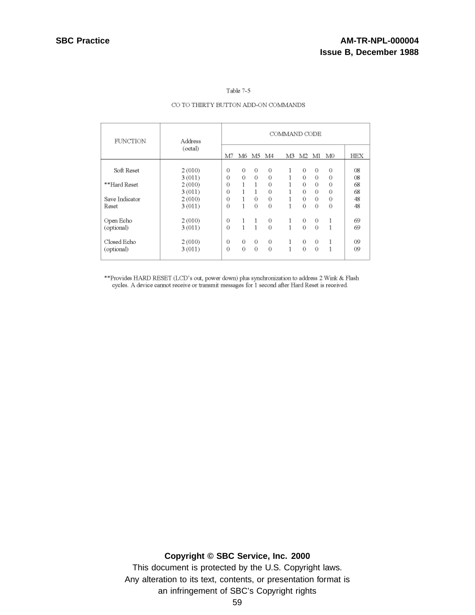### Table 7-5

#### CO TO THIRTY BUTTON ADD-ON COMMANDS

| <b>FUNCTION</b>           | Address          | COMMAND CODE         |        |          |               |        |        |               |               |          |
|---------------------------|------------------|----------------------|--------|----------|---------------|--------|--------|---------------|---------------|----------|
|                           | (octal)          | M7                   |        | M6 M5 M4 |               | M3     | M2 M1  |               | MO            | HEX      |
| Soft Reset                | 2(010)<br>3(011) | $\Omega$<br>0        | 0<br>0 | 0<br>0   | $\Omega$<br>0 | 1      | 0<br>0 | $\Omega$<br>0 | $\Omega$<br>0 | 08<br>08 |
| **Hard Reset              | 2(010)<br>3(011) | 0<br>0               |        |          | 0<br>0        |        | 0<br>0 | 0<br>0        | 0<br>0        | 68<br>68 |
| Save Indicator<br>Reset   | 2(010)<br>3(011) | $\theta$<br>$\theta$ |        | 0<br>0   | 0<br>0        |        | 0<br>0 | 0<br>0        | 0<br>0        | 48<br>48 |
| Open Echo<br>(optional)   | 2(010)<br>3(011) | 0<br>$\theta$        | 1      | 1        | 0<br>0        | 1      | 0<br>0 | 0<br>0        | 1<br>1        | 69<br>69 |
| Closed Echo<br>(optional) | 2(010)<br>3(011) | $\Omega$<br>$\theta$ | 0<br>0 | 0<br>0   | $\Omega$<br>0 | 1<br>1 | 0<br>0 | 0<br>0        | 1<br>1        | 09<br>09 |

\*\* Provides HARD RESET (LCD's out, power down) plus synchronization to address 2 Wink & Flash cycles. A device cannot receive or transmit messages for 1 second after Hard Reset is received.

### **Copyright © SBC Service, Inc. 2000**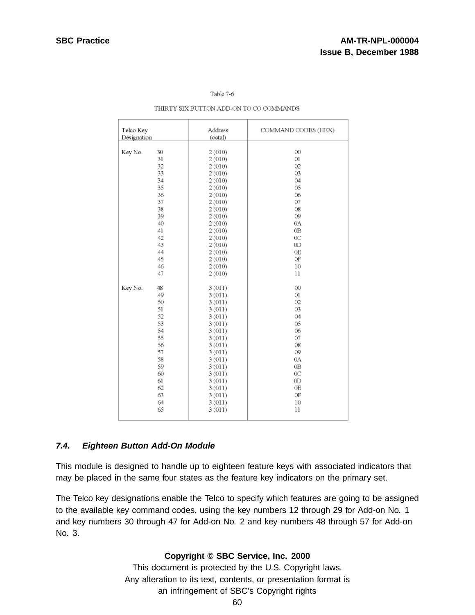| Telco Key<br>Designation |    | Address<br>(octal) | COMMAND CODES (HEX) |
|--------------------------|----|--------------------|---------------------|
| Key No.                  | 30 | 2(010)             | $_{00}$             |
|                          | 31 | 2(010)             | 01                  |
|                          | 32 | 2(010)             | 02                  |
|                          | 33 | 2(010)             | 03                  |
|                          | 34 | 2(010)             | 04                  |
|                          | 35 | 2(010)             | 05                  |
|                          | 36 | 2(010)             | 06                  |
|                          | 37 | 2(010)             | 07                  |
|                          | 38 | 2(010)             | 08                  |
|                          | 39 | 2(010)             | 09                  |
|                          | 40 | 2(010)             | 0A                  |
|                          | 41 | 2 (010)            | 0B                  |
|                          | 42 | 2(010)             | 0C                  |
|                          | 43 | 2(010)             | 0D                  |
|                          | 44 | 2(010)             | 0E                  |
|                          | 45 | 2(010)             | ΟF                  |
|                          | 46 | 2(010)             | 10                  |
|                          | 47 | 2(010)             | 11                  |
| Key No.                  | 48 | 3(011)             | $_{00}$             |
|                          | 49 | 3 (011)            | 01                  |
|                          | 50 | 3 (011)            | 02                  |
|                          | 51 | 3(011)             | 03                  |
|                          | 52 | 3 (011)            | 04                  |
|                          | 53 | 3(011)             | 05                  |
|                          | 54 | 3(011)             | 06                  |
|                          | 55 | 3(011)             | 07                  |
|                          | 56 | 3(011)             | 08                  |
|                          | 57 | 3(011)             | 09                  |
|                          | 58 | 3(011)             | 0A                  |
|                          | 59 | 3(011)             | 0B                  |
|                          | 60 | 3(011)             | 0C                  |
|                          | 61 | 3(011)             | 0D                  |
|                          | 62 | 3(011)             | 0E                  |
|                          | 63 | 3(011)             | ΟF                  |
|                          | 64 | 3(011)             | 10                  |
|                          | 65 | 3(011)             | 11                  |

#### Table 7-6

#### THIRTY SIX BUTTON ADD-ON TO CO COMMANDS

### **7.4. Eighteen Button Add-On Module**

This module is designed to handle up to eighteen feature keys with associated indicators that may be placed in the same four states as the feature key indicators on the primary set.

The Telco key designations enable the Telco to specify which features are going to be assigned to the available key command codes, using the key numbers 12 through 29 for Add-on No. 1 and key numbers 30 through 47 for Add-on No. 2 and key numbers 48 through 57 for Add-on No. 3.

### **Copyright © SBC Service, Inc. 2000**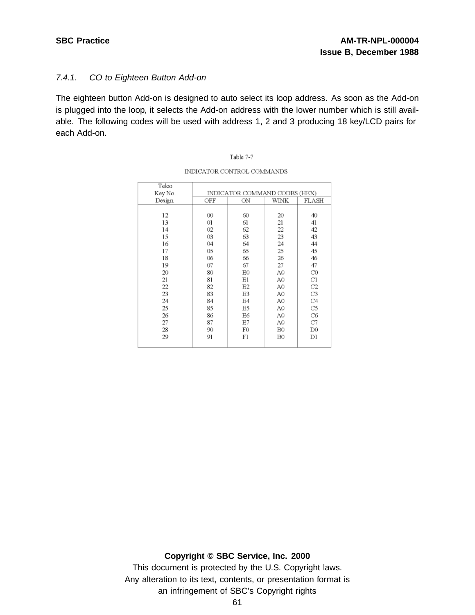### 7.4.1. CO to Eighteen Button Add-on

The eighteen button Add-on is designed to auto select its loop address. As soon as the Add-on is plugged into the loop, it selects the Add-on address with the lower number which is still available. The following codes will be used with address 1, 2 and 3 producing 18 key/LCD pairs for each Add-on.

| Table |  |
|-------|--|
|       |  |

| Telco   |         |                               |      |                |
|---------|---------|-------------------------------|------|----------------|
| Key No. |         | INDICATOR COMMAND CODES (HEX) |      |                |
| Design. | OFF     | ΟN                            | WINK | FLASH          |
|         |         |                               |      |                |
| 12      | $^{00}$ | 60                            | 20   | 40             |
| 13      | $_{01}$ | 61                            | 21   | 41             |
| 14      | 02      | 62                            | 22   | 42             |
| 15      | 03      | 63                            | 23   | 43             |
| 16      | 04      | 64                            | 24   | 44             |
| 17      | 05      | 65                            | 25   | 45             |
| 18      | 06      | 66                            | 26   | 46             |
| 19      | 07      | 67                            | 27   | 47             |
| 20      | 80      | E0                            | A0   | C0             |
| 21      | 81      | E1                            | A0   | C1             |
| 22      | 82      | E2                            | A0   | C2             |
| 23      | 83      | E3                            | AO   | C <sub>3</sub> |
| 24      | 84      | E4                            | AO   | C4             |
| 25      | 85      | E5                            | A0   | C5             |
| 26      | 86      | E6                            | AO   | C6             |
| 27      | 87      | E7                            | AO   | C7             |
| 28      | 90      | FO                            | B0   | D0             |
| 29      | 91      | Fl                            | BΟ   | Dl             |
|         |         |                               |      |                |

|  | INDICATOR CONTROL COMMANDS |
|--|----------------------------|
|  |                            |

# **Copyright © SBC Service, Inc. 2000**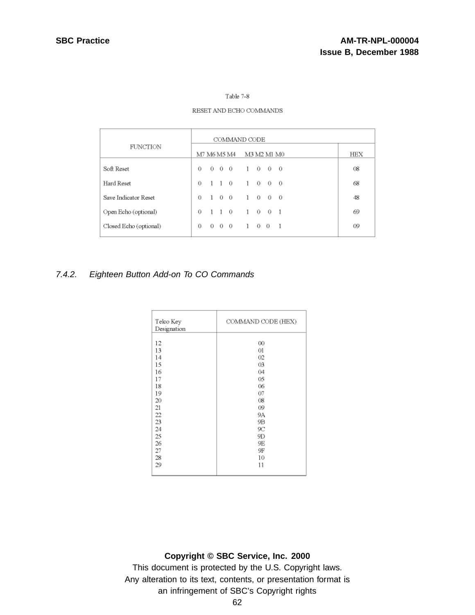#### Table 7-8

#### RESET AND ECHO COMMANDS

|                        | COMMAND CODE                                                                        |     |  |  |  |  |  |
|------------------------|-------------------------------------------------------------------------------------|-----|--|--|--|--|--|
| <b>FUNCTION</b>        | M7 M6 M5 M4<br>M3 M2 M1 M0                                                          | HEX |  |  |  |  |  |
| Soft Reset             | 0<br>$\theta$<br>$0\quad 0$<br>$1 \quad 0$<br>$\sim$ 0<br>- 0                       | 08  |  |  |  |  |  |
| Hard Reset             | 0<br>$\Omega$<br>1.<br>$\circ$<br>$\sim$ 0<br>- 0                                   | 68  |  |  |  |  |  |
| Save Indicator Reset   | $\mathbf{1}$<br>$1 \quad 0$<br>- 0<br>$\Omega$<br>0<br>$\overline{0}$<br>$^{\circ}$ | 48  |  |  |  |  |  |
| Open Echo (optional)   | 0<br>$\circ$<br>$1 \quad 0 \quad 0$<br>$\overline{1}$                               | 69  |  |  |  |  |  |
| Closed Echo (optional) | 0<br>- 0<br>$0\quad 0$<br>$1\quad 0\quad 0$<br>$\mathbf{1}$                         | 09  |  |  |  |  |  |

### 7.4.2. Eighteen Button Add-on To CO Commands

| Telco Key<br>Designation | COMMAND CODE (HEX) |
|--------------------------|--------------------|
|                          |                    |
| 12                       | $_{00}$            |
|                          |                    |
| 13                       | $_{01}$            |
| 14                       | 02                 |
| 15                       | 03                 |
| 16                       | 04                 |
| 17                       | 05                 |
| 18                       | 06                 |
| 19                       | 07                 |
| 20                       | 08                 |
|                          |                    |
| 21                       | 09                 |
| 22                       | 9Α                 |
| 23                       | 9В                 |
| 24                       | 9С                 |
| 25                       | 9D                 |
| 26                       | 9Е                 |
| 27                       | 9Ε                 |
| 28                       | 10                 |
| 29                       | 11                 |
|                          |                    |
|                          |                    |

### **Copyright © SBC Service, Inc. 2000**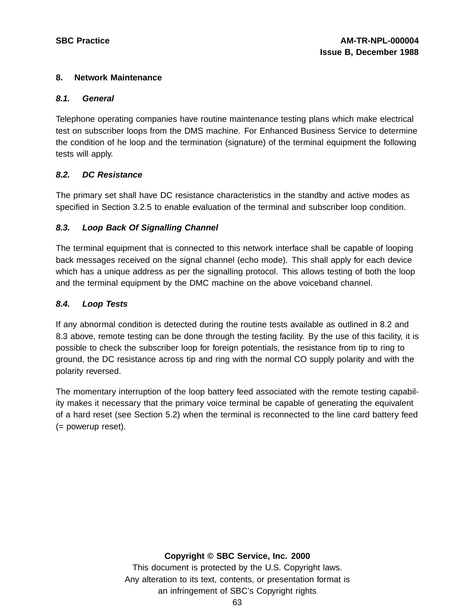### **8. Network Maintenance**

### **8.1. General**

Telephone operating companies have routine maintenance testing plans which make electrical test on subscriber loops from the DMS machine. For Enhanced Business Service to determine the condition of he loop and the termination (signature) of the terminal equipment the following tests will apply.

### **8.2. DC Resistance**

The primary set shall have DC resistance characteristics in the standby and active modes as specified in Section 3.2.5 to enable evaluation of the terminal and subscriber loop condition.

### **8.3. Loop Back Of Signalling Channel**

The terminal equipment that is connected to this network interface shall be capable of looping back messages received on the signal channel (echo mode). This shall apply for each device which has a unique address as per the signalling protocol. This allows testing of both the loop and the terminal equipment by the DMC machine on the above voiceband channel.

### **8.4. Loop Tests**

If any abnormal condition is detected during the routine tests available as outlined in 8.2 and 8.3 above, remote testing can be done through the testing facility. By the use of this facility, it is possible to check the subscriber loop for foreign potentials, the resistance from tip to ring to ground, the DC resistance across tip and ring with the normal CO supply polarity and with the polarity reversed.

The momentary interruption of the loop battery feed associated with the remote testing capability makes it necessary that the primary voice terminal be capable of generating the equivalent of a hard reset (see Section 5.2) when the terminal is reconnected to the line card battery feed (= powerup reset).